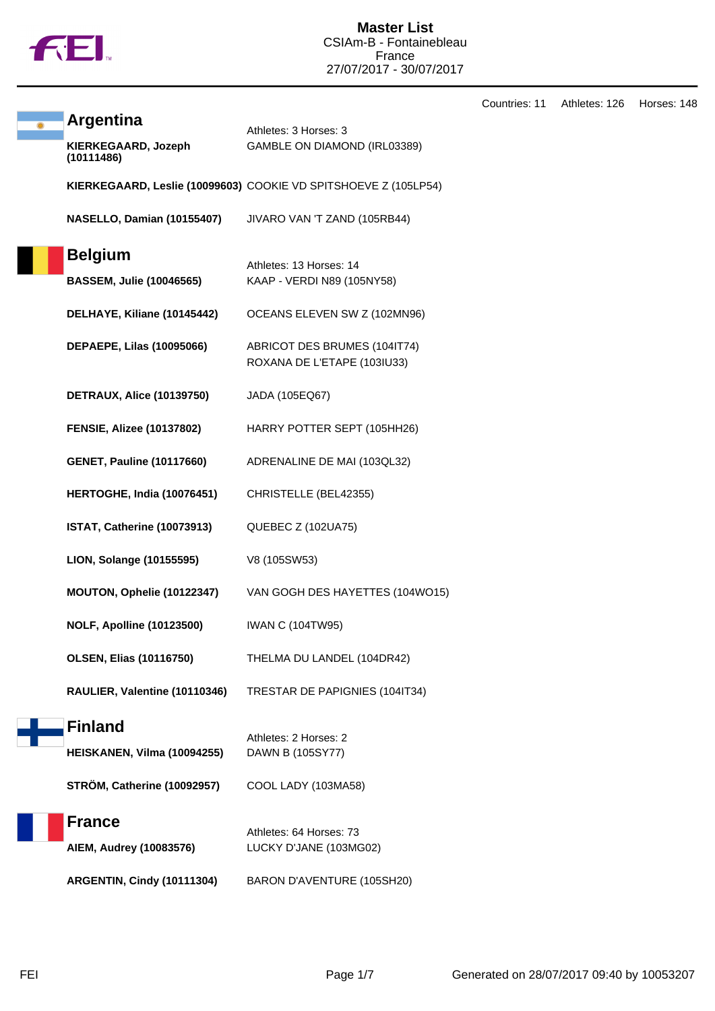

|                                   |                                                                 | Countries: 11 | Athletes: 126 | Horses: 148 |
|-----------------------------------|-----------------------------------------------------------------|---------------|---------------|-------------|
| <b>Argentina</b>                  | Athletes: 3 Horses: 3                                           |               |               |             |
| KIERKEGAARD, Jozeph<br>(10111486) | GAMBLE ON DIAMOND (IRL03389)                                    |               |               |             |
|                                   | KIERKEGAARD, Leslie (10099603) COOKIE VD SPITSHOEVE Z (105LP54) |               |               |             |
| <b>NASELLO, Damian (10155407)</b> | JIVARO VAN 'T ZAND (105RB44)                                    |               |               |             |
| <b>Belgium</b>                    |                                                                 |               |               |             |
| <b>BASSEM, Julie (10046565)</b>   | Athletes: 13 Horses: 14<br>KAAP - VERDI N89 (105NY58)           |               |               |             |
| DELHAYE, Kiliane (10145442)       | OCEANS ELEVEN SW Z (102MN96)                                    |               |               |             |
| <b>DEPAEPE, Lilas (10095066)</b>  | ABRICOT DES BRUMES (104IT74)<br>ROXANA DE L'ETAPE (103IU33)     |               |               |             |
| <b>DETRAUX, Alice (10139750)</b>  | JADA (105EQ67)                                                  |               |               |             |
| <b>FENSIE, Alizee (10137802)</b>  | HARRY POTTER SEPT (105HH26)                                     |               |               |             |
| <b>GENET, Pauline (10117660)</b>  | ADRENALINE DE MAI (103QL32)                                     |               |               |             |
| HERTOGHE, India (10076451)        | CHRISTELLE (BEL42355)                                           |               |               |             |
| ISTAT, Catherine (10073913)       | QUEBEC Z (102UA75)                                              |               |               |             |
| LION, Solange (10155595)          | V8 (105SW53)                                                    |               |               |             |
| MOUTON, Ophelie (10122347)        | VAN GOGH DES HAYETTES (104WO15)                                 |               |               |             |
| <b>NOLF, Apolline (10123500)</b>  | <b>IWAN C (104TW95)</b>                                         |               |               |             |
| <b>OLSEN, Elias (10116750)</b>    | THELMA DU LANDEL (104DR42)                                      |               |               |             |
| RAULIER, Valentine (10110346)     | TRESTAR DE PAPIGNIES (104IT34)                                  |               |               |             |
| <b>Finland</b>                    |                                                                 |               |               |             |
| HEISKANEN, Vilma (10094255)       | Athletes: 2 Horses: 2<br>DAWN B (105SY77)                       |               |               |             |
| STRÖM, Catherine (10092957)       | COOL LADY (103MA58)                                             |               |               |             |
| <b>France</b>                     |                                                                 |               |               |             |
| AIEM, Audrey (10083576)           | Athletes: 64 Horses: 73<br>LUCKY D'JANE (103MG02)               |               |               |             |
|                                   |                                                                 |               |               |             |
| ARGENTIN, Cindy (10111304)        | BARON D'AVENTURE (105SH20)                                      |               |               |             |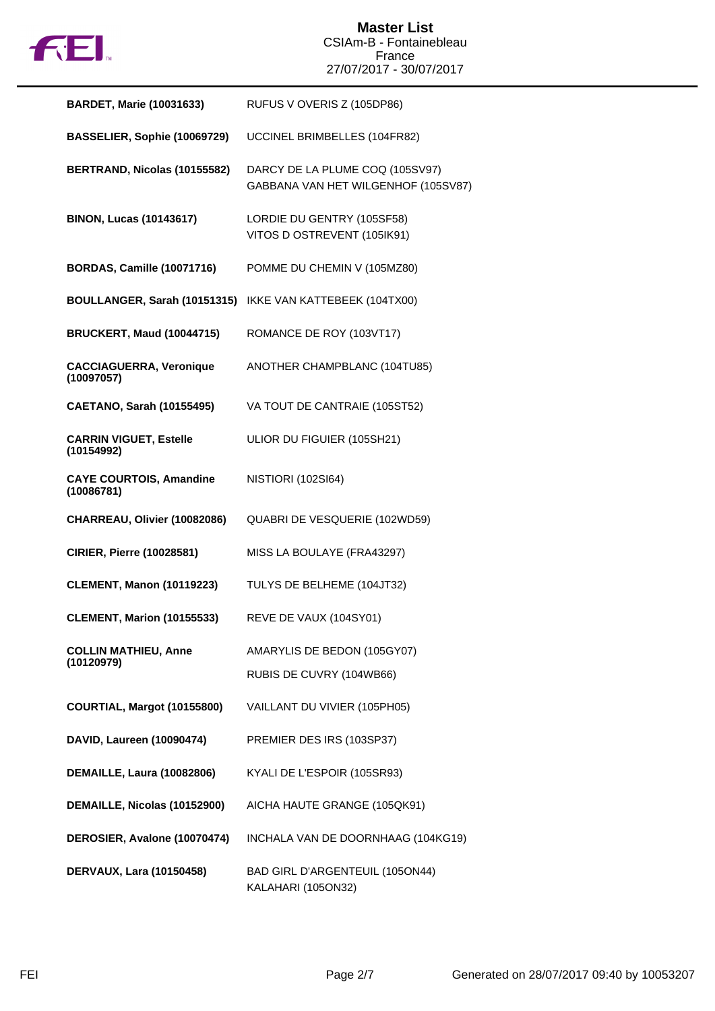

| <b>BARDET, Marie (10031633)</b>              | RUFUS V OVERIS Z (105DP86)                                             |
|----------------------------------------------|------------------------------------------------------------------------|
| BASSELIER, Sophie (10069729)                 | UCCINEL BRIMBELLES (104FR82)                                           |
| BERTRAND, Nicolas (10155582)                 | DARCY DE LA PLUME COQ (105SV97)<br>GABBANA VAN HET WILGENHOF (105SV87) |
| <b>BINON, Lucas (10143617)</b>               | LORDIE DU GENTRY (105SF58)<br>VITOS D OSTREVENT (105IK91)              |
| <b>BORDAS, Camille (10071716)</b>            | POMME DU CHEMIN V (105MZ80)                                            |
|                                              | BOULLANGER, Sarah (10151315) IKKE VAN KATTEBEEK (104TX00)              |
| <b>BRUCKERT, Maud (10044715)</b>             | ROMANCE DE ROY (103VT17)                                               |
| <b>CACCIAGUERRA, Veronique</b><br>(10097057) | ANOTHER CHAMPBLANC (104TU85)                                           |
| <b>CAETANO, Sarah (10155495)</b>             | VA TOUT DE CANTRAIE (105ST52)                                          |
| <b>CARRIN VIGUET, Estelle</b><br>(10154992)  | ULIOR DU FIGUIER (105SH21)                                             |
| <b>CAYE COURTOIS, Amandine</b><br>(10086781) | NISTIORI (102SI64)                                                     |
| CHARREAU, Olivier (10082086)                 | QUABRI DE VESQUERIE (102WD59)                                          |
| <b>CIRIER, Pierre (10028581)</b>             | MISS LA BOULAYE (FRA43297)                                             |
| <b>CLEMENT, Manon (10119223)</b>             | TULYS DE BELHEME (104JT32)                                             |
| <b>CLEMENT, Marion (10155533)</b>            | REVE DE VAUX (104SY01)                                                 |
| <b>COLLIN MATHIEU, Anne</b><br>(10120979)    | AMARYLIS DE BEDON (105GY07)                                            |
|                                              | RUBIS DE CUVRY (104WB66)                                               |
| COURTIAL, Margot (10155800)                  | VAILLANT DU VIVIER (105PH05)                                           |
| DAVID, Laureen (10090474)                    | PREMIER DES IRS (103SP37)                                              |
| <b>DEMAILLE, Laura (10082806)</b>            | KYALI DE L'ESPOIR (105SR93)                                            |
| DEMAILLE, Nicolas (10152900)                 | AICHA HAUTE GRANGE (105QK91)                                           |
| DEROSIER, Avalone (10070474)                 | INCHALA VAN DE DOORNHAAG (104KG19)                                     |
| DERVAUX, Lara (10150458)                     | BAD GIRL D'ARGENTEUIL (105ON44)<br>KALAHARI (105ON32)                  |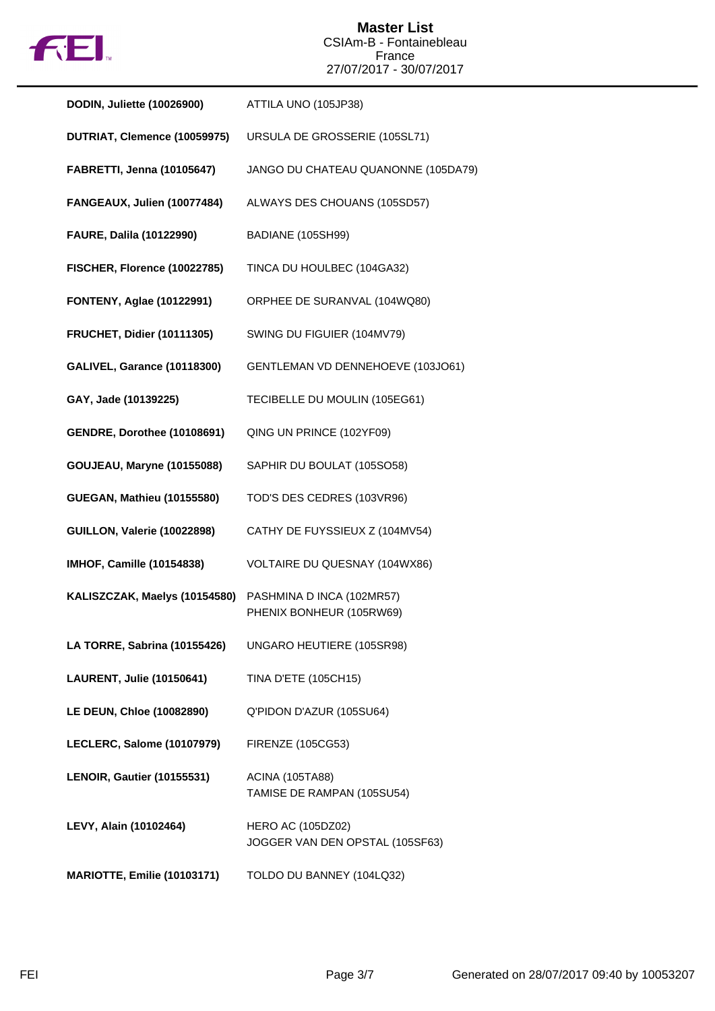

**Master List** CSIAm-B - Fontainebleau France 27/07/2017 - 30/07/2017

| <b>DODIN, Juliette (10026900)</b>  | ATTILA UNO (105JP38)                                        |
|------------------------------------|-------------------------------------------------------------|
| DUTRIAT, Clemence (10059975)       | URSULA DE GROSSERIE (105SL71)                               |
| <b>FABRETTI, Jenna (10105647)</b>  | JANGO DU CHATEAU QUANONNE (105DA79)                         |
| FANGEAUX, Julien (10077484)        | ALWAYS DES CHOUANS (105SD57)                                |
| <b>FAURE, Dalila (10122990)</b>    | BADIANE (105SH99)                                           |
| FISCHER, Florence (10022785)       | TINCA DU HOULBEC (104GA32)                                  |
| <b>FONTENY, Aglae (10122991)</b>   | ORPHEE DE SURANVAL (104WQ80)                                |
| <b>FRUCHET, Didier (10111305)</b>  | SWING DU FIGUIER (104MV79)                                  |
| <b>GALIVEL, Garance (10118300)</b> | GENTLEMAN VD DENNEHOEVE (103JO61)                           |
| GAY, Jade (10139225)               | TECIBELLE DU MOULIN (105EG61)                               |
| <b>GENDRE, Dorothee (10108691)</b> | QING UN PRINCE (102YF09)                                    |
| <b>GOUJEAU, Maryne (10155088)</b>  | SAPHIR DU BOULAT (105SO58)                                  |
| <b>GUEGAN, Mathieu (10155580)</b>  | TOD'S DES CEDRES (103VR96)                                  |
| GUILLON, Valerie (10022898)        | CATHY DE FUYSSIEUX Z (104MV54)                              |
| <b>IMHOF, Camille (10154838)</b>   | VOLTAIRE DU QUESNAY (104WX86)                               |
| KALISZCZAK, Maelys (10154580)      | PASHMINA D INCA (102MR57)<br>PHENIX BONHEUR (105RW69)       |
| LA TORRE, Sabrina (10155426)       | UNGARO HEUTIERE (105SR98)                                   |
| <b>LAURENT, Julie (10150641)</b>   | <b>TINA D'ETE (105CH15)</b>                                 |
| LE DEUN, Chloe (10082890)          | Q'PIDON D'AZUR (105SU64)                                    |
| LECLERC, Salome (10107979)         | <b>FIRENZE (105CG53)</b>                                    |
| <b>LENOIR, Gautier (10155531)</b>  | <b>ACINA (105TA88)</b><br>TAMISE DE RAMPAN (105SU54)        |
| LEVY, Alain (10102464)             | <b>HERO AC (105DZ02)</b><br>JOGGER VAN DEN OPSTAL (105SF63) |
| MARIOTTE, Emilie (10103171)        | TOLDO DU BANNEY (104LQ32)                                   |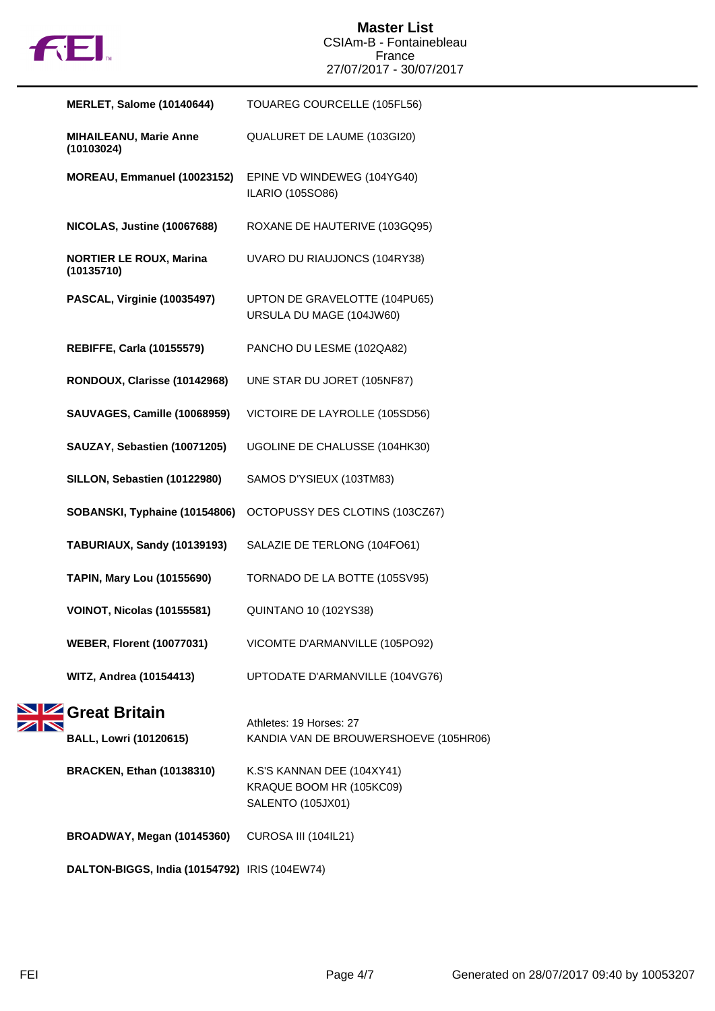

| <b>MERLET, Salome (10140644)</b>             | TOUAREG COURCELLE (105FL56)                                                 |
|----------------------------------------------|-----------------------------------------------------------------------------|
| <b>MIHAILEANU, Marie Anne</b><br>(10103024)  | QUALURET DE LAUME (103GI20)                                                 |
| MOREAU, Emmanuel (10023152)                  | EPINE VD WINDEWEG (104YG40)<br>ILARIO (105SO86)                             |
| NICOLAS, Justine (10067688)                  | ROXANE DE HAUTERIVE (103GQ95)                                               |
| <b>NORTIER LE ROUX, Marina</b><br>(10135710) | UVARO DU RIAUJONCS (104RY38)                                                |
| PASCAL, Virginie (10035497)                  | UPTON DE GRAVELOTTE (104PU65)<br>URSULA DU MAGE (104JW60)                   |
| <b>REBIFFE, Carla (10155579)</b>             | PANCHO DU LESME (102QA82)                                                   |
| RONDOUX, Clarisse (10142968)                 | UNE STAR DU JORET (105NF87)                                                 |
| <b>SAUVAGES, Camille (10068959)</b>          | VICTOIRE DE LAYROLLE (105SD56)                                              |
| SAUZAY, Sebastien (10071205)                 | UGOLINE DE CHALUSSE (104HK30)                                               |
| SILLON, Sebastien (10122980)                 | SAMOS D'YSIEUX (103TM83)                                                    |
| SOBANSKI, Typhaine (10154806)                | OCTOPUSSY DES CLOTINS (103CZ67)                                             |
| TABURIAUX, Sandy (10139193)                  | SALAZIE DE TERLONG (104FO61)                                                |
| <b>TAPIN, Mary Lou (10155690)</b>            | TORNADO DE LA BOTTE (105SV95)                                               |
| VOINOT, Nicolas (10155581)                   | <b>QUINTANO 10 (102YS38)</b>                                                |
| <b>WEBER, Florent (10077031)</b>             | VICOMTE D'ARMANVILLE (105PO92)                                              |
| <b>WITZ, Andrea (10154413)</b>               | UPTODATE D'ARMANVILLE (104VG76)                                             |
| Great Britain                                | Athletes: 19 Horses: 27                                                     |
| <b>BALL, Lowri (10120615)</b>                | KANDIA VAN DE BROUWERSHOEVE (105HR06)                                       |
| <b>BRACKEN, Ethan (10138310)</b>             | K.S'S KANNAN DEE (104XY41)<br>KRAQUE BOOM HR (105KC09)<br>SALENTO (105JX01) |
| BROADWAY, Megan (10145360)                   | CUROSA III (104IL21)                                                        |

**DALTON-BIGGS, India (10154792)** IRIS (104EW74)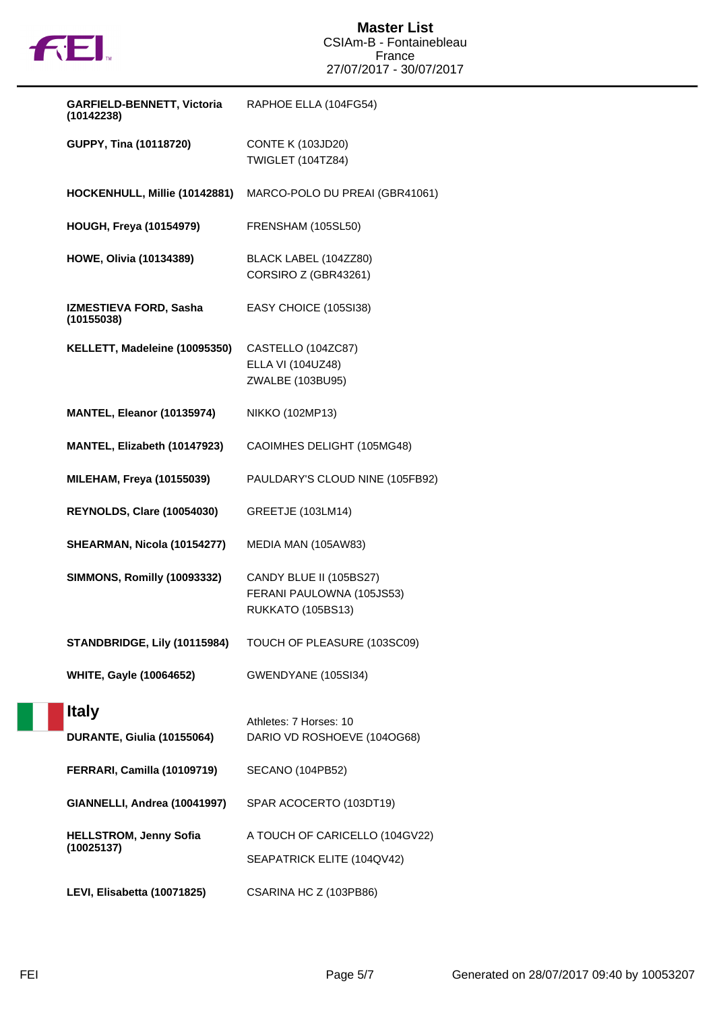

| <b>GARFIELD-BENNETT, Victoria</b><br>(10142238) | RAPHOE ELLA (104FG54)                                                     |
|-------------------------------------------------|---------------------------------------------------------------------------|
| GUPPY, Tina (10118720)                          | <b>CONTE K (103JD20)</b><br><b>TWIGLET (104TZ84)</b>                      |
| HOCKENHULL, Millie (10142881)                   | MARCO-POLO DU PREAI (GBR41061)                                            |
| <b>HOUGH, Freya (10154979)</b>                  | FRENSHAM (105SL50)                                                        |
| <b>HOWE, Olivia (10134389)</b>                  | BLACK LABEL (104ZZ80)<br>CORSIRO Z (GBR43261)                             |
| IZMESTIEVA FORD, Sasha<br>(10155038)            | EASY CHOICE (105SI38)                                                     |
| KELLETT, Madeleine (10095350)                   | CASTELLO (104ZC87)<br>ELLA VI (104UZ48)<br>ZWALBE (103BU95)               |
| MANTEL, Eleanor (10135974)                      | NIKKO (102MP13)                                                           |
| MANTEL, Elizabeth (10147923)                    | CAOIMHES DELIGHT (105MG48)                                                |
| <b>MILEHAM, Freya (10155039)</b>                | PAULDARY'S CLOUD NINE (105FB92)                                           |
| REYNOLDS, Clare (10054030)                      | <b>GREETJE (103LM14)</b>                                                  |
| SHEARMAN, Nicola (10154277)                     | MEDIA MAN (105AW83)                                                       |
| <b>SIMMONS, Romilly (10093332)</b>              | CANDY BLUE II (105BS27)<br>FERANI PAULOWNA (105JS53)<br>RUKKATO (105BS13) |
| STANDBRIDGE, Lily (10115984)                    | TOUCH OF PLEASURE (103SC09)                                               |
| <b>WHITE, Gayle (10064652)</b>                  | GWENDYANE (105SI34)                                                       |
| <b>Italy</b>                                    |                                                                           |
| DURANTE, Giulia (10155064)                      | Athletes: 7 Horses: 10<br>DARIO VD ROSHOEVE (104OG68)                     |
| FERRARI, Camilla (10109719)                     | SECANO (104PB52)                                                          |
| GIANNELLI, Andrea (10041997)                    | SPAR ACOCERTO (103DT19)                                                   |
| <b>HELLSTROM, Jenny Sofia</b><br>(10025137)     | A TOUCH OF CARICELLO (104GV22)<br>SEAPATRICK ELITE (104QV42)              |
| LEVI, Elisabetta (10071825)                     | CSARINA HC Z (103PB86)                                                    |

a p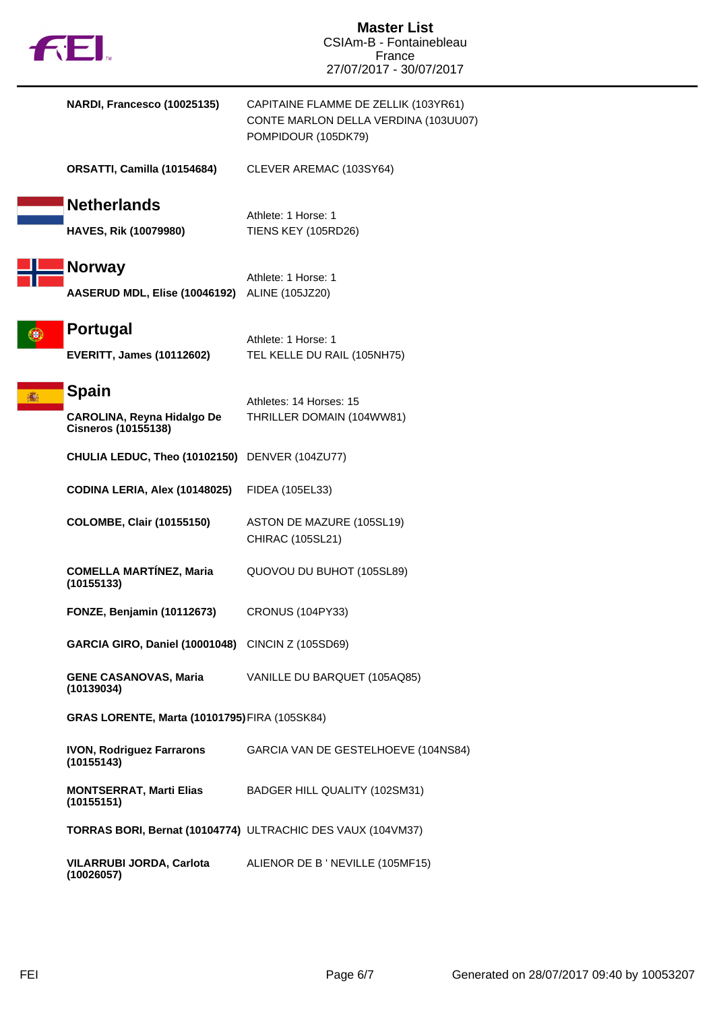| fill.                               |                                                | <b>Master List</b><br>CSIAm-B - Fontainebleau<br>France<br>27/07/2017 - 30/07/2017                  |
|-------------------------------------|------------------------------------------------|-----------------------------------------------------------------------------------------------------|
|                                     | NARDI, Francesco (10025135)                    | CAPITAINE FLAMME DE ZELLIK (103YR61)<br>CONTE MARLON DELLA VERDINA (103UU07)<br>POMPIDOUR (105DK79) |
|                                     | ORSATTI, Camilla (10154684)                    | CLEVER AREMAC (103SY64)                                                                             |
| <b>Netherlands</b>                  | <b>HAVES, Rik (10079980)</b>                   | Athlete: 1 Horse: 1<br><b>TIENS KEY (105RD26)</b>                                                   |
| <b>Norway</b>                       | <b>AASERUD MDL, Elise (10046192)</b>           | Athlete: 1 Horse: 1<br>ALINE (105JZ20)                                                              |
| Portugal                            | <b>EVERITT, James (10112602)</b>               | Athlete: 1 Horse: 1<br>TEL KELLE DU RAIL (105NH75)                                                  |
| Spain<br><b>Cisneros (10155138)</b> | <b>CAROLINA, Reyna Hidalgo De</b>              | Athletes: 14 Horses: 15<br>THRILLER DOMAIN (104WW81)                                                |
|                                     | CHULIA LEDUC, Theo (10102150) DENVER (104ZU77) |                                                                                                     |
|                                     | <b>CODINA LERIA, Alex (10148025)</b>           | FIDEA (105EL33)                                                                                     |
|                                     | <b>COLOMBE, Clair (10155150)</b>               | ASTON DE MAZURE (105SL19)<br>CHIRAC (105SL21)                                                       |
| (10155133)                          | <b>COMELLA MARTÍNEZ, Maria</b>                 | QUOVOU DU BUHOT (105SL89)                                                                           |
|                                     | <b>FONZE, Benjamin (10112673)</b>              | <b>CRONUS (104PY33)</b>                                                                             |
|                                     | GARCIA GIRO, Daniel (10001048)                 | CINCIN Z (105SD69)                                                                                  |
| (10139034)                          | <b>GENE CASANOVAS, Maria</b>                   | VANILLE DU BARQUET (105AQ85)                                                                        |
|                                     | GRAS LORENTE, Marta (10101795) FIRA (105SK84)  |                                                                                                     |
| (10155143)                          | <b>IVON, Rodriguez Farrarons</b>               | GARCIA VAN DE GESTELHOEVE (104NS84)                                                                 |
| (10155151)                          | <b>MONTSERRAT, Marti Elias</b>                 | BADGER HILL QUALITY (102SM31)                                                                       |
|                                     |                                                | TORRAS BORI, Bernat (10104774) ULTRACHIC DES VAUX (104VM37)                                         |
| (10026057)                          | <b>VILARRUBI JORDA, Carlota</b>                | ALIENOR DE B ' NEVILLE (105MF15)                                                                    |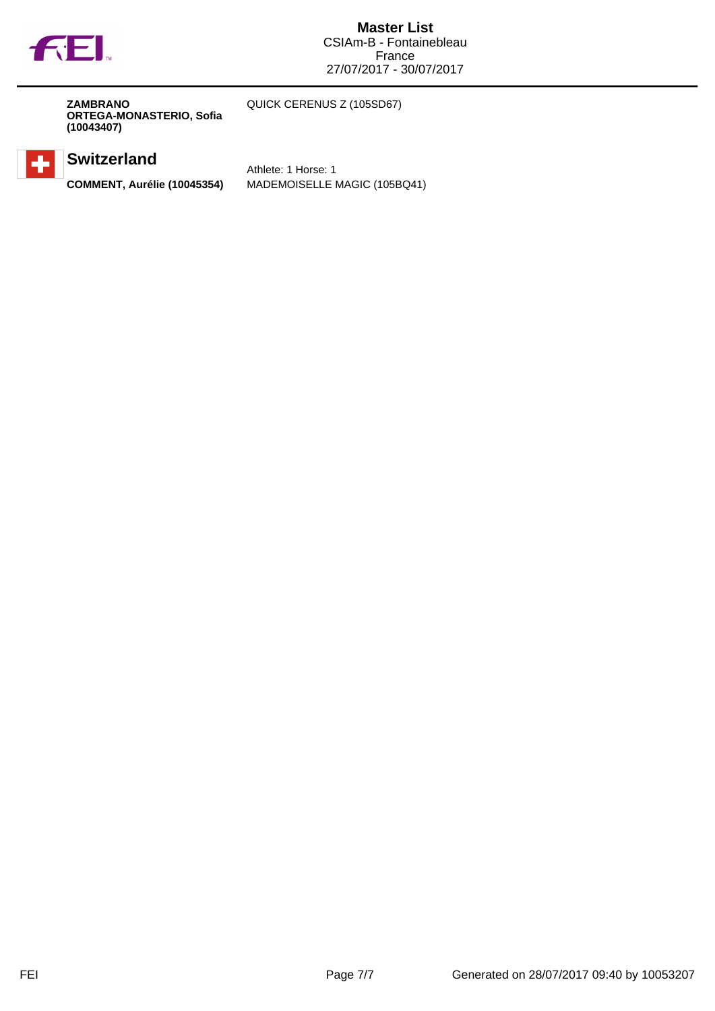

**ZAMBRANO ORTEGA-MONASTERIO, Sofia (10043407)**

QUICK CERENUS Z (105SD67)

## **Switzerland**

Athlete: 1 Horse: 1 **COMMENT, Aurélie (10045354)** MADEMOISELLE MAGIC (105BQ41)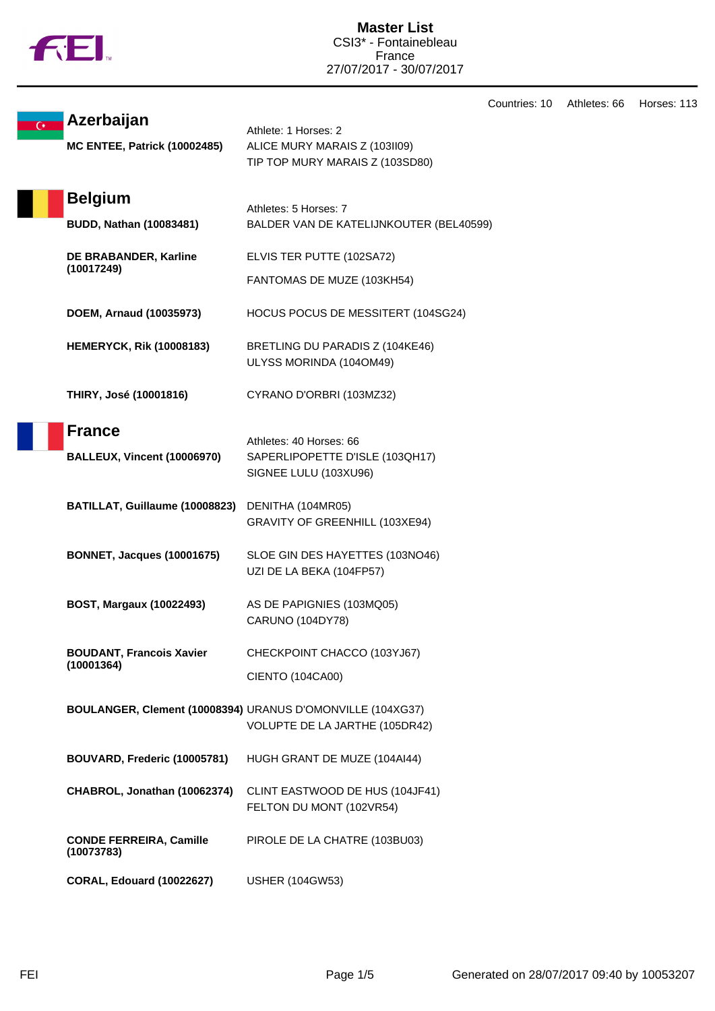

**Master List** CSI3\* - Fontainebleau France 27/07/2017 - 30/07/2017

Countries: 10 Athletes: 66 Horses: 113

| G* | Azerbaijan                                   | Athlete: 1 Horses: 2                                                                         |
|----|----------------------------------------------|----------------------------------------------------------------------------------------------|
|    | <b>MC ENTEE, Patrick (10002485)</b>          | ALICE MURY MARAIS Z (103II09)<br>TIP TOP MURY MARAIS Z (103SD80)                             |
|    | <b>Belgium</b>                               | Athletes: 5 Horses: 7                                                                        |
|    | <b>BUDD, Nathan (10083481)</b>               | BALDER VAN DE KATELIJNKOUTER (BEL40599)                                                      |
|    | DE BRABANDER, Karline<br>(10017249)          | ELVIS TER PUTTE (102SA72)                                                                    |
|    |                                              | FANTOMAS DE MUZE (103KH54)                                                                   |
|    | DOEM, Arnaud (10035973)                      | HOCUS POCUS DE MESSITERT (104SG24)                                                           |
|    | <b>HEMERYCK, Rik (10008183)</b>              | BRETLING DU PARADIS Z (104KE46)<br>ULYSS MORINDA (104OM49)                                   |
|    | THIRY, José (10001816)                       | CYRANO D'ORBRI (103MZ32)                                                                     |
|    | <b>France</b>                                |                                                                                              |
|    | <b>BALLEUX, Vincent (10006970)</b>           | Athletes: 40 Horses: 66<br>SAPERLIPOPETTE D'ISLE (103QH17)<br>SIGNEE LULU (103XU96)          |
|    | BATILLAT, Guillaume (10008823)               | DENITHA (104MR05)<br>GRAVITY OF GREENHILL (103XE94)                                          |
|    | <b>BONNET, Jacques (10001675)</b>            | SLOE GIN DES HAYETTES (103NO46)<br>UZI DE LA BEKA (104FP57)                                  |
|    | <b>BOST, Margaux (10022493)</b>              | AS DE PAPIGNIES (103MQ05)<br>CARUNO (104DY78)                                                |
|    | <b>BOUDANT, Francois Xavier</b>              | CHECKPOINT CHACCO (103YJ67)                                                                  |
|    | (10001364)                                   | CIENTO (104CA00)                                                                             |
|    |                                              | BOULANGER, Clement (10008394) URANUS D'OMONVILLE (104XG37)<br>VOLUPTE DE LA JARTHE (105DR42) |
|    | BOUVARD, Frederic (10005781)                 | HUGH GRANT DE MUZE (104AI44)                                                                 |
|    | CHABROL, Jonathan (10062374)                 | CLINT EASTWOOD DE HUS (104JF41)<br>FELTON DU MONT (102VR54)                                  |
|    | <b>CONDE FERREIRA, Camille</b><br>(10073783) | PIROLE DE LA CHATRE (103BU03)                                                                |
|    | <b>CORAL, Edouard (10022627)</b>             | <b>USHER (104GW53)</b>                                                                       |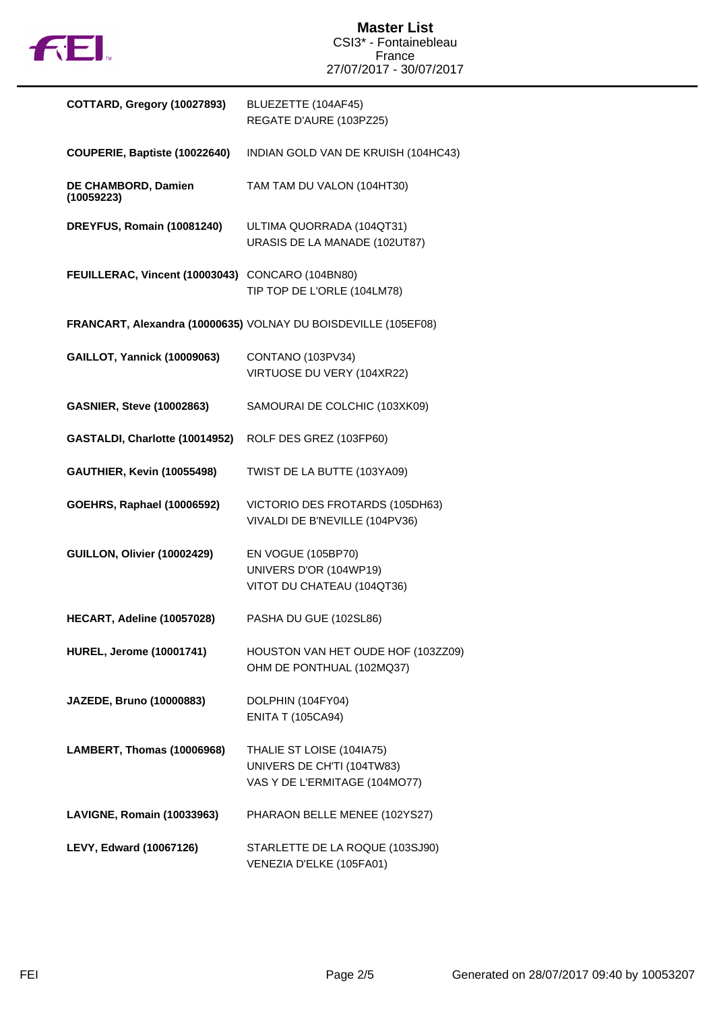

| COTTARD, Gregory (10027893)                      | BLUEZETTE (104AF45)<br>REGATE D'AURE (103PZ25)                                           |
|--------------------------------------------------|------------------------------------------------------------------------------------------|
| COUPERIE, Baptiste (10022640)                    | INDIAN GOLD VAN DE KRUISH (104HC43)                                                      |
| DE CHAMBORD, Damien<br>(10059223)                | TAM TAM DU VALON (104HT30)                                                               |
| DREYFUS, Romain (10081240)                       | ULTIMA QUORRADA (104QT31)<br>URASIS DE LA MANADE (102UT87)                               |
| FEUILLERAC, Vincent (10003043) CONCARO (104BN80) | TIP TOP DE L'ORLE (104LM78)                                                              |
|                                                  | FRANCART, Alexandra (10000635) VOLNAY DU BOISDEVILLE (105EF08)                           |
| <b>GAILLOT, Yannick (10009063)</b>               | CONTANO (103PV34)<br>VIRTUOSE DU VERY (104XR22)                                          |
| <b>GASNIER, Steve (10002863)</b>                 | SAMOURAI DE COLCHIC (103XK09)                                                            |
| GASTALDI, Charlotte (10014952)                   | ROLF DES GREZ (103FP60)                                                                  |
| <b>GAUTHIER, Kevin (10055498)</b>                | TWIST DE LA BUTTE (103YA09)                                                              |
| <b>GOEHRS, Raphael (10006592)</b>                | VICTORIO DES FROTARDS (105DH63)<br>VIVALDI DE B'NEVILLE (104PV36)                        |
| GUILLON, Olivier (10002429)                      | EN VOGUE (105BP70)<br>UNIVERS D'OR (104WP19)<br>VITOT DU CHATEAU (104QT36)               |
| HECART, Adeline (10057028)                       | PASHA DU GUE (102SL86)                                                                   |
| <b>HUREL, Jerome (10001741)</b>                  | HOUSTON VAN HET OUDE HOF (103ZZ09)<br>OHM DE PONTHUAL (102MQ37)                          |
| JAZEDE, Bruno (10000883)                         | DOLPHIN (104FY04)<br><b>ENITA T (105CA94)</b>                                            |
| LAMBERT, Thomas (10006968)                       | THALIE ST LOISE (104IA75)<br>UNIVERS DE CH'TI (104TW83)<br>VAS Y DE L'ERMITAGE (104MO77) |
| LAVIGNE, Romain (10033963)                       | PHARAON BELLE MENEE (102YS27)                                                            |
| LEVY, Edward (10067126)                          | STARLETTE DE LA ROQUE (103SJ90)<br>VENEZIA D'ELKE (105FA01)                              |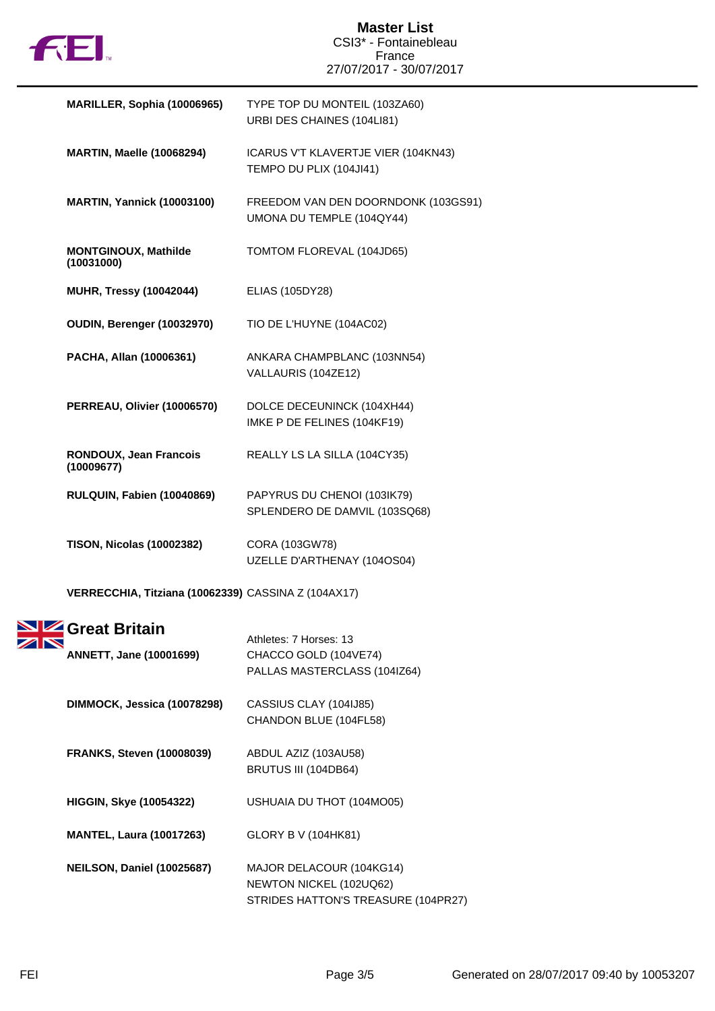

| MARILLER, Sophia (10006965)               | TYPE TOP DU MONTEIL (103ZA60)<br>URBI DES CHAINES (104LI81)      |
|-------------------------------------------|------------------------------------------------------------------|
| <b>MARTIN, Maelle (10068294)</b>          | ICARUS V'T KLAVERTJE VIER (104KN43)<br>TEMPO DU PLIX (104JI41)   |
| <b>MARTIN, Yannick (10003100)</b>         | FREEDOM VAN DEN DOORNDONK (103GS91)<br>UMONA DU TEMPLE (104QY44) |
| <b>MONTGINOUX, Mathilde</b><br>(10031000) | TOMTOM FLOREVAL (104JD65)                                        |
| <b>MUHR, Tressy (10042044)</b>            | ELIAS (105DY28)                                                  |
| OUDIN, Berenger (10032970)                | TIO DE L'HUYNE (104AC02)                                         |
| PACHA, Allan (10006361)                   | ANKARA CHAMPBLANC (103NN54)<br>VALLAURIS (104ZE12)               |
| PERREAU, Olivier (10006570)               | DOLCE DECEUNINCK (104XH44)<br>IMKE P DE FELINES (104KF19)        |
| RONDOUX, Jean Francois<br>(10009677)      | REALLY LS LA SILLA (104CY35)                                     |
| RULQUIN, Fabien (10040869)                | PAPYRUS DU CHENOI (103IK79)<br>SPLENDERO DE DAMVIL (103SQ68)     |
| <b>TISON, Nicolas (10002382)</b>          | CORA (103GW78)<br>UZELLE D'ARTHENAY (104OS04)                    |
|                                           |                                                                  |

**VERRECCHIA, Titziana (10062339)** CASSINA Z (104AX17)

| <b>Great Britain</b><br><b>ANNETT, Jane (10001699)</b> | Athletes: 7 Horses: 13<br>CHACCO GOLD (104VE74)<br>PALLAS MASTERCLASS (104IZ64)            |
|--------------------------------------------------------|--------------------------------------------------------------------------------------------|
| DIMMOCK, Jessica (10078298)                            | CASSIUS CLAY (104IJ85)<br>CHANDON BLUE (104FL58)                                           |
| <b>FRANKS, Steven (10008039)</b>                       | ABDUL AZIZ (103AU58)<br>BRUTUS III (104DB64)                                               |
| <b>HIGGIN, Skye (10054322)</b>                         | USHUAIA DU THOT (104MO05)                                                                  |
| <b>MANTEL, Laura (10017263)</b>                        | GLORY B V (104HK81)                                                                        |
| <b>NEILSON, Daniel (10025687)</b>                      | MAJOR DELACOUR (104KG14)<br>NEWTON NICKEL (102UQ62)<br>STRIDES HATTON'S TREASURE (104PR27) |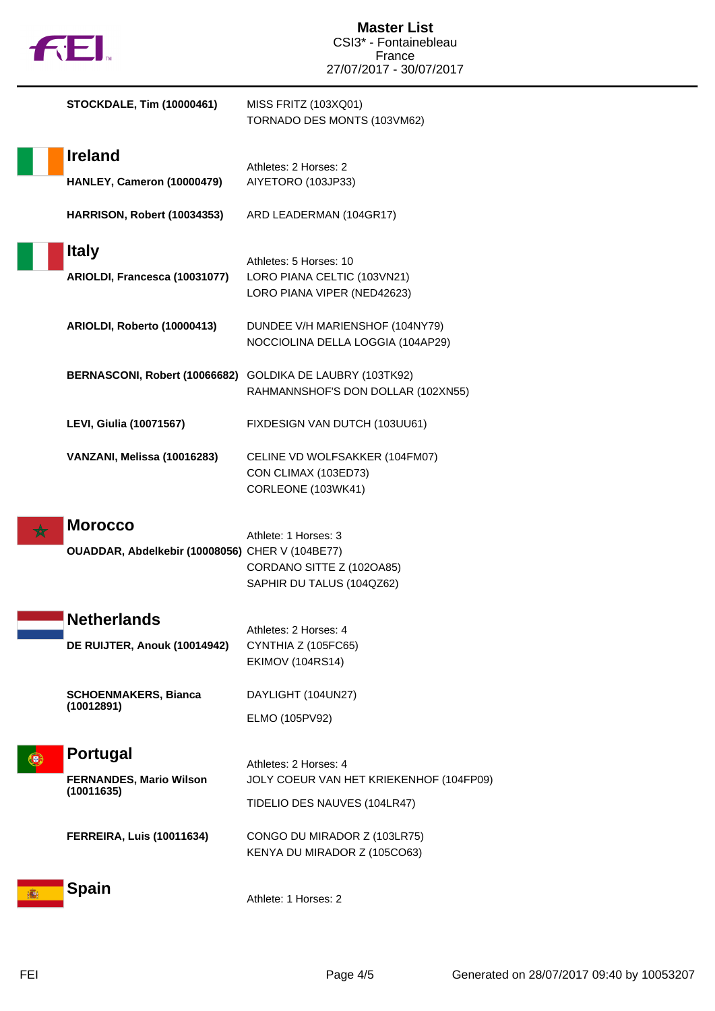| <b>FEI</b>                                                        | <b>Master List</b><br>CSI3* - Fontainebleau                                                      |
|-------------------------------------------------------------------|--------------------------------------------------------------------------------------------------|
|                                                                   | France<br>27/07/2017 - 30/07/2017                                                                |
| <b>STOCKDALE, Tim (10000461)</b>                                  | MISS FRITZ (103XQ01)<br>TORNADO DES MONTS (103VM62)                                              |
| <b>Ireland</b><br>HANLEY, Cameron (10000479)                      | Athletes: 2 Horses: 2<br>AIYETORO (103JP33)                                                      |
| HARRISON, Robert (10034353)                                       | ARD LEADERMAN (104GR17)                                                                          |
| <b>Italy</b><br>ARIOLDI, Francesca (10031077)                     | Athletes: 5 Horses: 10<br>LORO PIANA CELTIC (103VN21)<br>LORO PIANA VIPER (NED42623)             |
| ARIOLDI, Roberto (10000413)                                       | DUNDEE V/H MARIENSHOF (104NY79)<br>NOCCIOLINA DELLA LOGGIA (104AP29)                             |
| BERNASCONI, Robert (10066682) GOLDIKA DE LAUBRY (103TK92)         | RAHMANNSHOF'S DON DOLLAR (102XN55)                                                               |
| <b>LEVI, Giulia (10071567)</b>                                    | FIXDESIGN VAN DUTCH (103UU61)                                                                    |
| VANZANI, Melissa (10016283)                                       | CELINE VD WOLFSAKKER (104FM07)<br>CON CLIMAX (103ED73)<br>CORLEONE (103WK41)                     |
| <b>Morocco</b><br>OUADDAR, Abdelkebir (10008056) CHER V (104BE77) | Athlete: 1 Horses: 3<br>CORDANO SITTE Z (102OA85)<br>SAPHIR DU TALUS (104QZ62)                   |
| <b>Netherlands</b><br>DE RUIJTER, Anouk (10014942)                | Athletes: 2 Horses: 4<br>CYNTHIA Z (105FC65)<br><b>EKIMOV (104RS14)</b>                          |
| <b>SCHOENMAKERS, Bianca</b><br>(10012891)                         | DAYLIGHT (104UN27)<br>ELMO (105PV92)                                                             |
| <b>Portugal</b><br><b>FERNANDES, Mario Wilson</b><br>(10011635)   | Athletes: 2 Horses: 4<br>JOLY COEUR VAN HET KRIEKENHOF (104FP09)<br>TIDELIO DES NAUVES (104LR47) |
| <b>FERREIRA, Luis (10011634)</b>                                  | CONGO DU MIRADOR Z (103LR75)<br>KENYA DU MIRADOR Z (105CO63)                                     |
| <b>Spain</b>                                                      | Athlete: 1 Horses: 2                                                                             |

п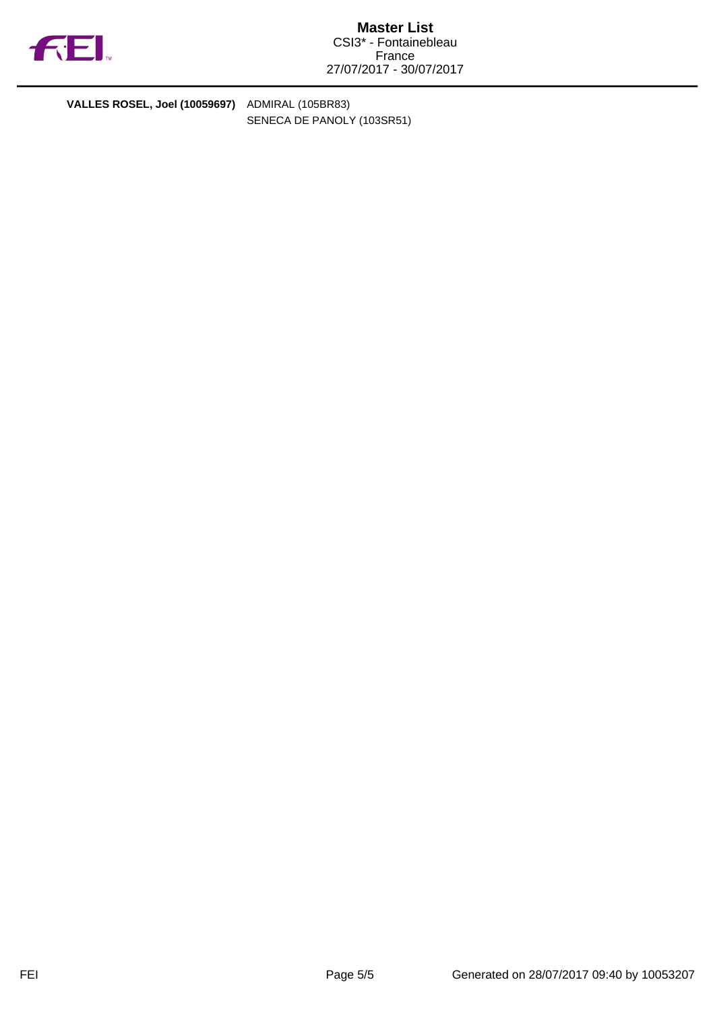

**VALLES ROSEL, Joel (10059697)** ADMIRAL (105BR83)

SENECA DE PANOLY (103SR51)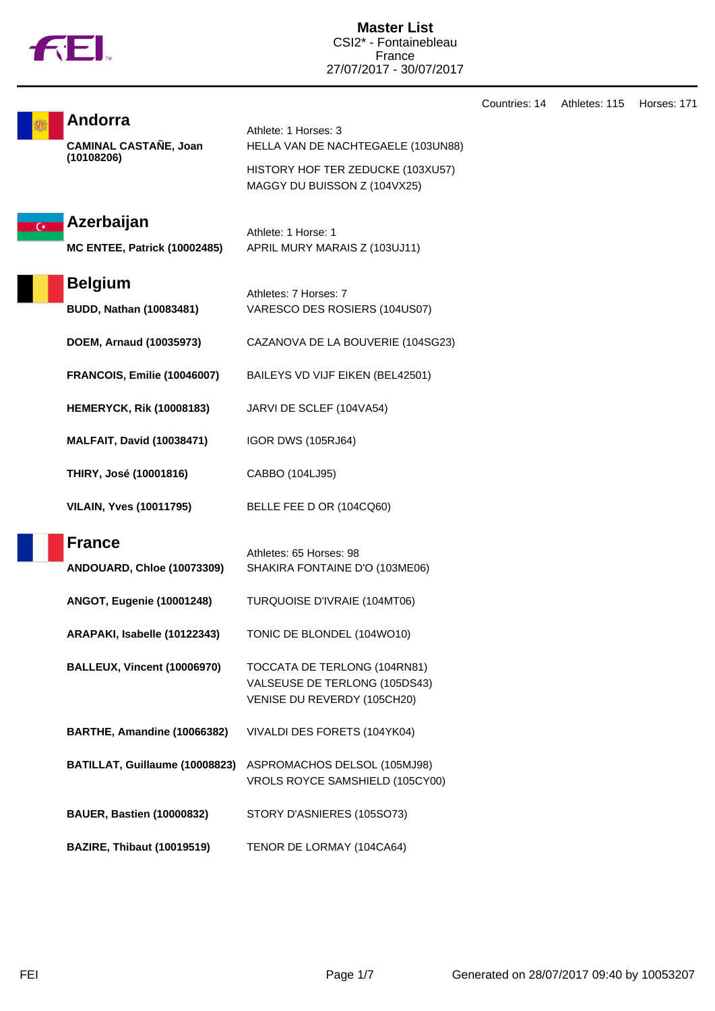|  | <b>TM</b> |
|--|-----------|

**Master List** CSI2\* - Fontainebleau France 27/07/2017 - 30/07/2017

|                                                   |                                                                                              | Countries: 14 | Athletes: 115 | Horses: 171 |
|---------------------------------------------------|----------------------------------------------------------------------------------------------|---------------|---------------|-------------|
| Andorra<br><b>CAMINAL CASTAÑE, Joan</b>           | Athlete: 1 Horses: 3<br>HELLA VAN DE NACHTEGAELE (103UN88)                                   |               |               |             |
| (10108206)                                        | HISTORY HOF TER ZEDUCKE (103XU57)<br>MAGGY DU BUISSON Z (104VX25)                            |               |               |             |
| Azerbaijan<br><b>MC ENTEE, Patrick (10002485)</b> | Athlete: 1 Horse: 1<br>APRIL MURY MARAIS Z (103UJ11)                                         |               |               |             |
| <b>Belgium</b><br><b>BUDD, Nathan (10083481)</b>  | Athletes: 7 Horses: 7<br>VARESCO DES ROSIERS (104US07)                                       |               |               |             |
| DOEM, Arnaud (10035973)                           | CAZANOVA DE LA BOUVERIE (104SG23)                                                            |               |               |             |
| <b>FRANCOIS, Emilie (10046007)</b>                | BAILEYS VD VIJF EIKEN (BEL42501)                                                             |               |               |             |
| <b>HEMERYCK, Rik (10008183)</b>                   | JARVI DE SCLEF (104VA54)                                                                     |               |               |             |
| <b>MALFAIT, David (10038471)</b>                  | <b>IGOR DWS (105RJ64)</b>                                                                    |               |               |             |
| THIRY, José (10001816)                            | CABBO (104LJ95)                                                                              |               |               |             |
| <b>VILAIN, Yves (10011795)</b>                    | BELLE FEE D OR (104CQ60)                                                                     |               |               |             |
| <b>France</b><br>ANDOUARD, Chloe (10073309)       | Athletes: 65 Horses: 98<br>SHAKIRA FONTAINE D'O (103ME06)                                    |               |               |             |
| <b>ANGOT, Eugenie (10001248)</b>                  | TURQUOISE D'IVRAIE (104MT06)                                                                 |               |               |             |
| ARAPAKI, Isabelle (10122343)                      | TONIC DE BLONDEL (104WO10)                                                                   |               |               |             |
| <b>BALLEUX, Vincent (10006970)</b>                | TOCCATA DE TERLONG (104RN81)<br>VALSEUSE DE TERLONG (105DS43)<br>VENISE DU REVERDY (105CH20) |               |               |             |
| BARTHE, Amandine (10066382)                       | VIVALDI DES FORETS (104YK04)                                                                 |               |               |             |
| BATILLAT, Guillaume (10008823)                    | ASPROMACHOS DELSOL (105MJ98)<br>VROLS ROYCE SAMSHIELD (105CY00)                              |               |               |             |
| <b>BAUER, Bastien (10000832)</b>                  | STORY D'ASNIERES (105SO73)                                                                   |               |               |             |
| <b>BAZIRE, Thibaut (10019519)</b>                 | TENOR DE LORMAY (104CA64)                                                                    |               |               |             |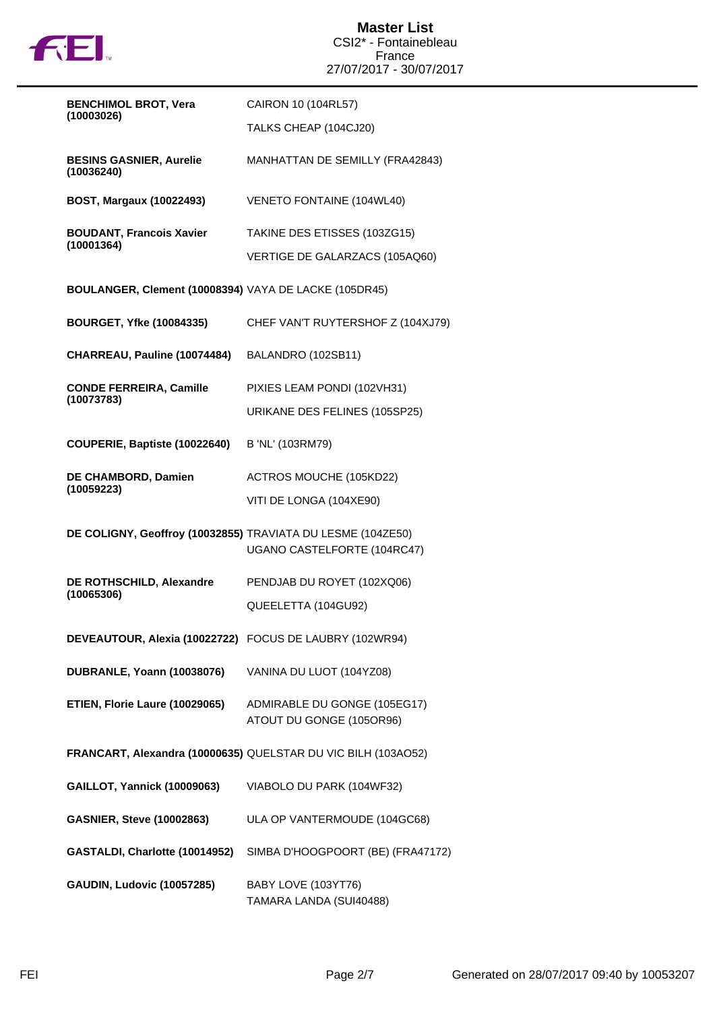

| <b>BENCHIMOL BROT, Vera</b>                                 | CAIRON 10 (104RL57)                                           |
|-------------------------------------------------------------|---------------------------------------------------------------|
| (10003026)                                                  | TALKS CHEAP (104CJ20)                                         |
| <b>BESINS GASNIER, Aurelie</b><br>(10036240)                | MANHATTAN DE SEMILLY (FRA42843)                               |
| <b>BOST, Margaux (10022493)</b>                             | VENETO FONTAINE (104WL40)                                     |
| <b>BOUDANT, Francois Xavier</b><br>(10001364)               | TAKINE DES ETISSES (103ZG15)                                  |
|                                                             | VERTIGE DE GALARZACS (105AQ60)                                |
| BOULANGER, Clement (10008394) VAYA DE LACKE (105DR45)       |                                                               |
| <b>BOURGET, Yfke (10084335)</b>                             | CHEF VAN'T RUYTERSHOF Z (104XJ79)                             |
| CHARREAU, Pauline (10074484)                                | BALANDRO (102SB11)                                            |
| <b>CONDE FERREIRA, Camille</b>                              | PIXIES LEAM PONDI (102VH31)                                   |
| (10073783)                                                  | URIKANE DES FELINES (105SP25)                                 |
| COUPERIE, Baptiste (10022640)                               | B 'NL' (103RM79)                                              |
| DE CHAMBORD, Damien<br>(10059223)                           | ACTROS MOUCHE (105KD22)                                       |
|                                                             | VITI DE LONGA (104XE90)                                       |
| DE COLIGNY, Geoffroy (10032855) TRAVIATA DU LESME (104ZE50) | UGANO CASTELFORTE (104RC47)                                   |
| DE ROTHSCHILD, Alexandre                                    | PENDJAB DU ROYET (102XQ06)                                    |
| (10065306)                                                  | QUEELETTA (104GU92)                                           |
| DEVEAUTOUR, Alexia (10022722) FOCUS DE LAUBRY (102WR94)     |                                                               |
| <b>DUBRANLE, Yoann (10038076)</b>                           | VANINA DU LUOT (104YZ08)                                      |
| ETIEN, Florie Laure (10029065)                              | ADMIRABLE DU GONGE (105EG17)<br>ATOUT DU GONGE (105OR96)      |
|                                                             | FRANCART, Alexandra (10000635) QUELSTAR DU VIC BILH (103AO52) |
| <b>GAILLOT, Yannick (10009063)</b>                          | VIABOLO DU PARK (104WF32)                                     |
| <b>GASNIER, Steve (10002863)</b>                            | ULA OP VANTERMOUDE (104GC68)                                  |
| GASTALDI, Charlotte (10014952)                              | SIMBA D'HOOGPOORT (BE) (FRA47172)                             |
| <b>GAUDIN, Ludovic (10057285)</b>                           | BABY LOVE (103YT76)<br>TAMARA LANDA (SUI40488)                |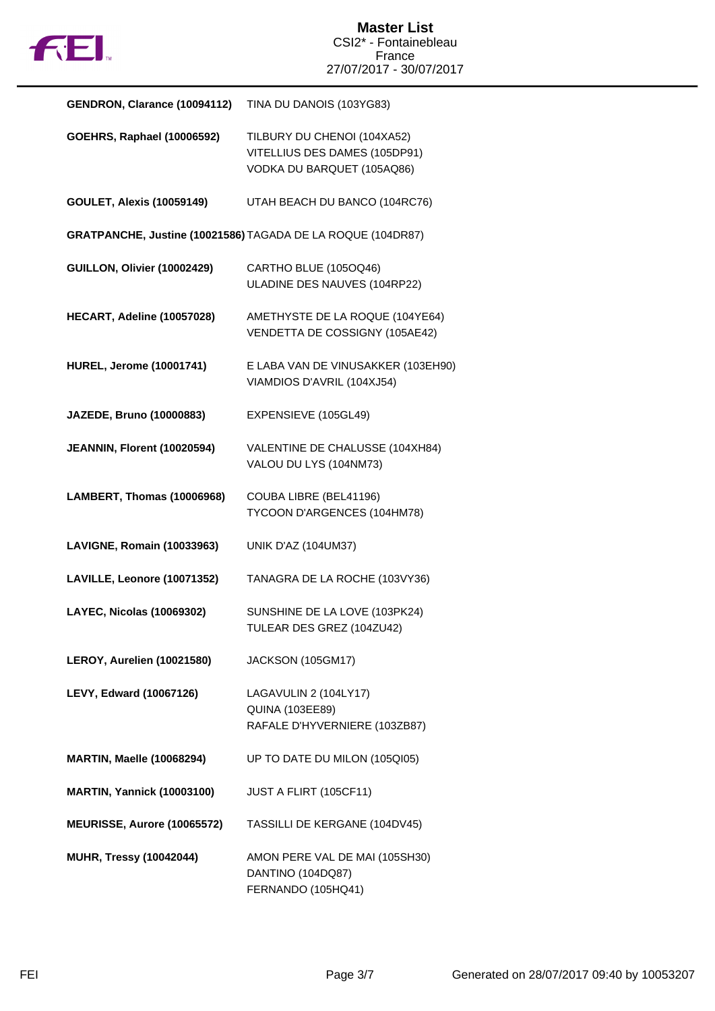

| GENDRON, Clarance (10094112)      | TINA DU DANOIS (103YG83)                                                                   |
|-----------------------------------|--------------------------------------------------------------------------------------------|
| <b>GOEHRS, Raphael (10006592)</b> | TILBURY DU CHENOI (104XA52)<br>VITELLIUS DES DAMES (105DP91)<br>VODKA DU BARQUET (105AQ86) |
| <b>GOULET, Alexis (10059149)</b>  | UTAH BEACH DU BANCO (104RC76)                                                              |
|                                   | GRATPANCHE, Justine (10021586) TAGADA DE LA ROQUE (104DR87)                                |
| GUILLON, Olivier (10002429)       | CARTHO BLUE (105OQ46)<br>ULADINE DES NAUVES (104RP22)                                      |
| HECART, Adeline (10057028)        | AMETHYSTE DE LA ROQUE (104YE64)<br>VENDETTA DE COSSIGNY (105AE42)                          |
| <b>HUREL, Jerome (10001741)</b>   | E LABA VAN DE VINUSAKKER (103EH90)<br>VIAMDIOS D'AVRIL (104XJ54)                           |
| JAZEDE, Bruno (10000883)          | EXPENSIEVE (105GL49)                                                                       |
| JEANNIN, Florent (10020594)       | VALENTINE DE CHALUSSE (104XH84)<br>VALOU DU LYS (104NM73)                                  |
| LAMBERT, Thomas (10006968)        | COUBA LIBRE (BEL41196)<br>TYCOON D'ARGENCES (104HM78)                                      |
| LAVIGNE, Romain (10033963)        | <b>UNIK D'AZ (104UM37)</b>                                                                 |
| LAVILLE, Leonore (10071352)       | TANAGRA DE LA ROCHE (103VY36)                                                              |
| LAYEC, Nicolas (10069302)         | SUNSHINE DE LA LOVE (103PK24)<br>TULEAR DES GREZ (104ZU42)                                 |
| LEROY, Aurelien (10021580)        | JACKSON (105GM17)                                                                          |
| LEVY, Edward (10067126)           | LAGAVULIN 2 (104LY17)<br><b>QUINA (103EE89)</b><br>RAFALE D'HYVERNIERE (103ZB87)           |
| <b>MARTIN, Maelle (10068294)</b>  | UP TO DATE DU MILON (105QI05)                                                              |
| <b>MARTIN, Yannick (10003100)</b> | JUST A FLIRT (105CF11)                                                                     |
| MEURISSE, Aurore (10065572)       | TASSILLI DE KERGANE (104DV45)                                                              |
| <b>MUHR, Tressy (10042044)</b>    | AMON PERE VAL DE MAI (105SH30)<br>DANTINO (104DQ87)<br>FERNANDO (105HQ41)                  |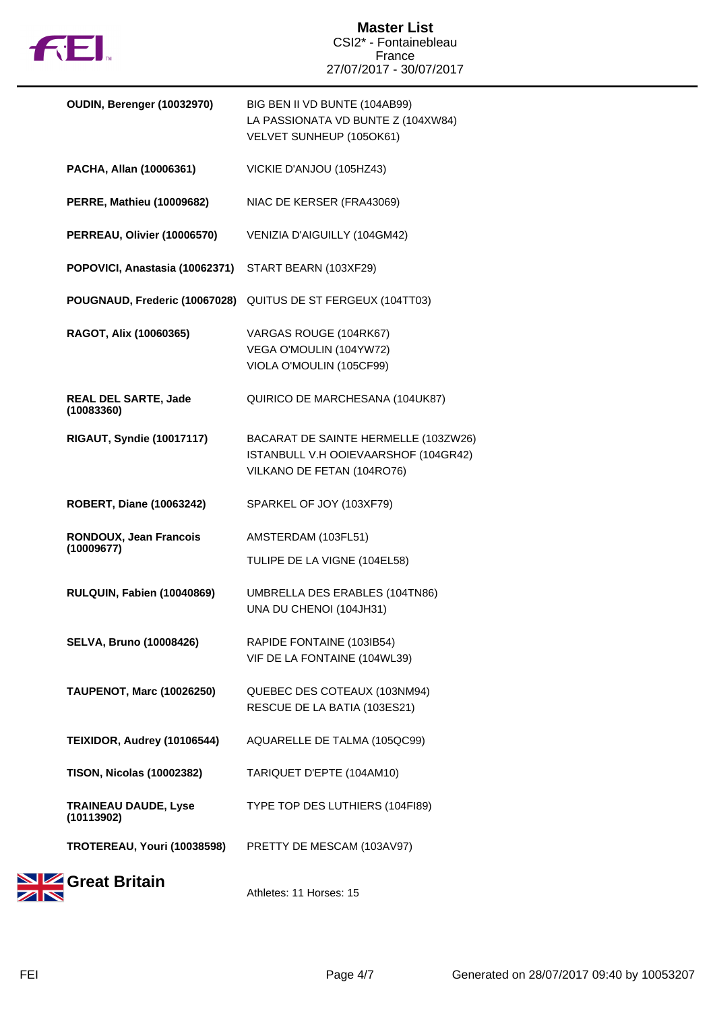

| OUDIN, Berenger (10032970)                | BIG BEN II VD BUNTE (104AB99)<br>LA PASSIONATA VD BUNTE Z (104XW84)<br>VELVET SUNHEUP (105OK61)            |
|-------------------------------------------|------------------------------------------------------------------------------------------------------------|
| PACHA, Allan (10006361)                   | VICKIE D'ANJOU (105HZ43)                                                                                   |
| <b>PERRE, Mathieu (10009682)</b>          | NIAC DE KERSER (FRA43069)                                                                                  |
| PERREAU, Olivier (10006570)               | VENIZIA D'AIGUILLY (104GM42)                                                                               |
| POPOVICI, Anastasia (10062371)            | START BEARN (103XF29)                                                                                      |
| POUGNAUD, Frederic (10067028)             | QUITUS DE ST FERGEUX (104TT03)                                                                             |
| RAGOT, Alix (10060365)                    | VARGAS ROUGE (104RK67)<br>VEGA O'MOULIN (104YW72)<br>VIOLA O'MOULIN (105CF99)                              |
| <b>REAL DEL SARTE, Jade</b><br>(10083360) | QUIRICO DE MARCHESANA (104UK87)                                                                            |
| <b>RIGAUT, Syndie (10017117)</b>          | BACARAT DE SAINTE HERMELLE (103ZW26)<br>ISTANBULL V.H OOIEVAARSHOF (104GR42)<br>VILKANO DE FETAN (104RO76) |
| <b>ROBERT, Diane (10063242)</b>           | SPARKEL OF JOY (103XF79)                                                                                   |
| RONDOUX, Jean Francois<br>(10009677)      | AMSTERDAM (103FL51)                                                                                        |
|                                           | TULIPE DE LA VIGNE (104EL58)                                                                               |
| RULQUIN, Fabien (10040869)                | UMBRELLA DES ERABLES (104TN86)<br>UNA DU CHENOI (104JH31)                                                  |
| <b>SELVA, Bruno (10008426)</b>            | RAPIDE FONTAINE (103IB54)<br>VIF DE LA FONTAINE (104WL39)                                                  |
| <b>TAUPENOT, Marc (10026250)</b>          | QUEBEC DES COTEAUX (103NM94)<br>RESCUE DE LA BATIA (103ES21)                                               |
| TEIXIDOR, Audrey (10106544)               | AQUARELLE DE TALMA (105QC99)                                                                               |
| <b>TISON, Nicolas (10002382)</b>          | TARIQUET D'EPTE (104AM10)                                                                                  |
| <b>TRAINEAU DAUDE, Lyse</b><br>(10113902) | TYPE TOP DES LUTHIERS (104F189)                                                                            |
| TROTEREAU, Youri (10038598)               | PRETTY DE MESCAM (103AV97)                                                                                 |
| $\Gamma$                                  |                                                                                                            |



Athletes: 11 Horses: 15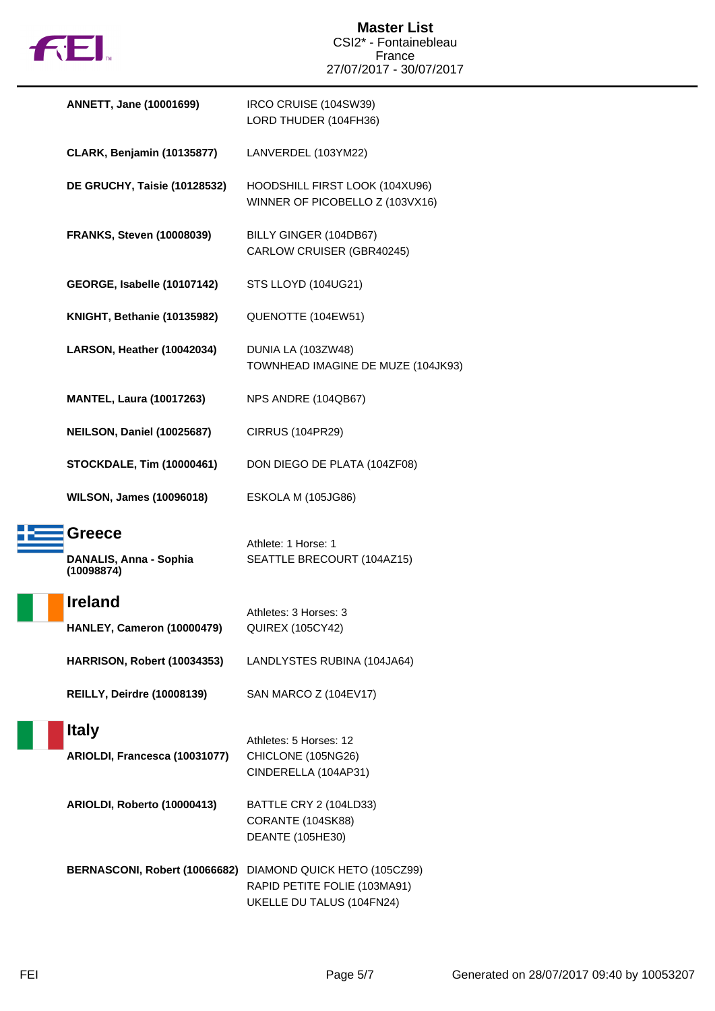

| <b>ANNETT, Jane (10001699)</b>                        | IRCO CRUISE (104SW39)<br>LORD THUDER (104FH36)                                                                          |
|-------------------------------------------------------|-------------------------------------------------------------------------------------------------------------------------|
| <b>CLARK, Benjamin (10135877)</b>                     | LANVERDEL (103YM22)                                                                                                     |
| DE GRUCHY, Taisie (10128532)                          | HOODSHILL FIRST LOOK (104XU96)<br>WINNER OF PICOBELLO Z (103VX16)                                                       |
| <b>FRANKS, Steven (10008039)</b>                      | BILLY GINGER (104DB67)<br>CARLOW CRUISER (GBR40245)                                                                     |
| GEORGE, Isabelle (10107142)                           | STS LLOYD (104UG21)                                                                                                     |
| KNIGHT, Bethanie (10135982)                           | QUENOTTE (104EW51)                                                                                                      |
| LARSON, Heather (10042034)                            | DUNIA LA (103ZW48)<br>TOWNHEAD IMAGINE DE MUZE (104JK93)                                                                |
| <b>MANTEL, Laura (10017263)</b>                       | NPS ANDRE (104QB67)                                                                                                     |
| NEILSON, Daniel (10025687)                            | <b>CIRRUS (104PR29)</b>                                                                                                 |
| <b>STOCKDALE, Tim (10000461)</b>                      | DON DIEGO DE PLATA (104ZF08)                                                                                            |
| <b>WILSON, James (10096018)</b>                       | ESKOLA M (105JG86)                                                                                                      |
| <b>Greece</b><br>DANALIS, Anna - Sophia<br>(10098874) | Athlete: 1 Horse: 1<br>SEATTLE BRECOURT (104AZ15)                                                                       |
| <b>Ireland</b><br>HANLEY, Cameron (10000479)          | Athletes: 3 Horses: 3<br><b>QUIREX (105CY42)</b>                                                                        |
| HARRISON, Robert (10034353)                           | LANDLYSTES RUBINA (104JA64)                                                                                             |
| <b>REILLY, Deirdre (10008139)</b>                     | SAN MARCO Z (104EV17)                                                                                                   |
| <b>Italy</b><br>ARIOLDI, Francesca (10031077)         | Athletes: 5 Horses: 12<br>CHICLONE (105NG26)<br>CINDERELLA (104AP31)                                                    |
| ARIOLDI, Roberto (10000413)                           | BATTLE CRY 2 (104LD33)<br>CORANTE (104SK88)<br><b>DEANTE (105HE30)</b>                                                  |
|                                                       | BERNASCONI, Robert (10066682) DIAMOND QUICK HETO (105CZ99)<br>RAPID PETITE FOLIE (103MA91)<br>UKELLE DU TALUS (104FN24) |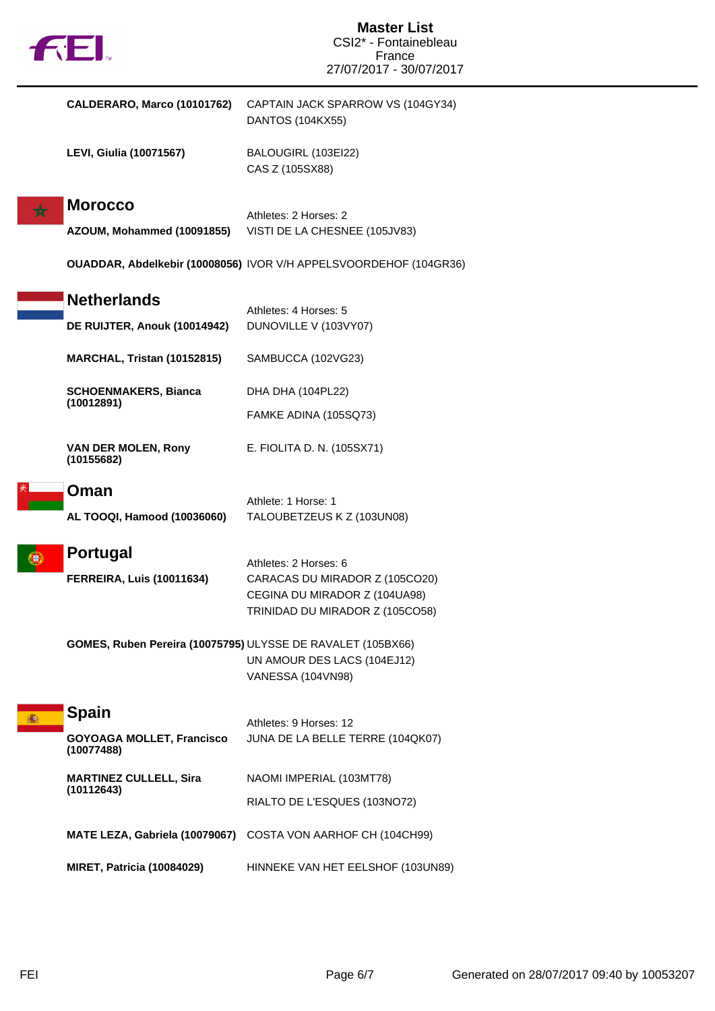| <b>FEI.</b>                                    | <b>Master List</b><br>CSI2* - Fontainebleau<br>France<br>27/07/2017 - 30/07/2017 |
|------------------------------------------------|----------------------------------------------------------------------------------|
| CALDERARO, Marco (10101762)                    | CAPTAIN JACK SPARROW VS (104GY34)                                                |
|                                                | <b>DANTOS (104KX55)</b>                                                          |
| <b>LEVI, Giulia (10071567)</b>                 | BALOUGIRL (103EI22)<br>CAS Z (105SX88)                                           |
| <b>Morocco</b>                                 |                                                                                  |
| AZOUM, Mohammed (10091855)                     | Athletes: 2 Horses: 2<br>VISTI DE LA CHESNEE (105JV83)                           |
|                                                | OUADDAR, Abdelkebir (10008056) IVOR V/H APPELSVOORDEHOF (104GR36)                |
| <b>Netherlands</b>                             |                                                                                  |
| DE RUIJTER, Anouk (10014942)                   | Athletes: 4 Horses: 5<br>DUNOVILLE V (103VY07)                                   |
| MARCHAL, Tristan (10152815)                    | SAMBUCCA (102VG23)                                                               |
| <b>SCHOENMAKERS, Bianca</b>                    | DHA DHA (104PL22)                                                                |
| (10012891)                                     | FAMKE ADINA (105SQ73)                                                            |
| <b>VAN DER MOLEN, Rony</b><br>(10155682)       | E. FIOLITA D. N. (105SX71)                                                       |
| Oman                                           |                                                                                  |
| AL TOOQI, Hamood (10036060)                    | Athlete: 1 Horse: 1<br>TALOUBETZEUS K Z (103UN08)                                |
| <b>Portugal</b>                                | Athletes: 2 Horses: 6                                                            |
| <b>FERREIRA, Luis (10011634)</b>               | CARACAS DU MIRADOR Z (105CO20)                                                   |
|                                                | CEGINA DU MIRADOR Z (104UA98)<br>TRINIDAD DU MIRADOR Z (105CO58)                 |
|                                                | GOMES, Ruben Pereira (10075795) ULYSSE DE RAVALET (105BX66)                      |
|                                                | UN AMOUR DES LACS (104EJ12)                                                      |
|                                                | VANESSA (104VN98)                                                                |
| <b>Spain</b><br>播                              | Athletes: 9 Horses: 12                                                           |
| <b>GOYOAGA MOLLET, Francisco</b><br>(10077488) | JUNA DE LA BELLE TERRE (104QK07)                                                 |
| <b>MARTINEZ CULLELL, Sira</b><br>(10112643)    | NAOMI IMPERIAL (103MT78)                                                         |
|                                                | RIALTO DE L'ESQUES (103NO72)                                                     |
|                                                | MATE LEZA, Gabriela (10079067) COSTA VON AARHOF CH (104CH99)                     |
| <b>MIRET, Patricia (10084029)</b>              | HINNEKE VAN HET EELSHOF (103UN89)                                                |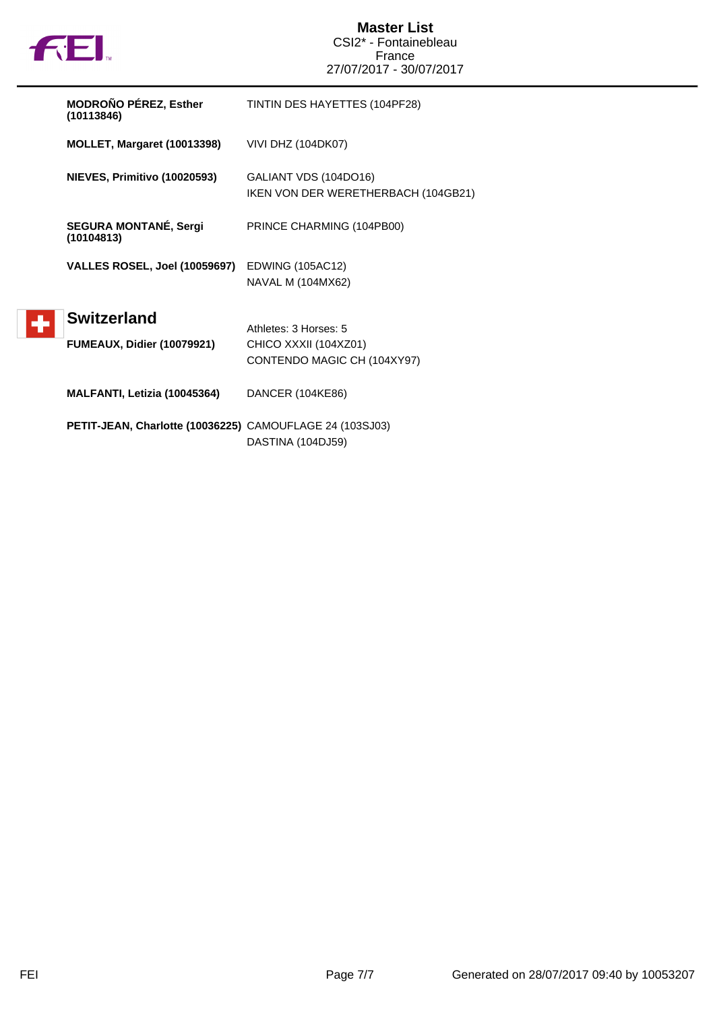

| <b>MODROÑO PÉREZ, Esther</b><br>(10113846)               | TINTIN DES HAYETTES (104PF28)                                                 |
|----------------------------------------------------------|-------------------------------------------------------------------------------|
| MOLLET, Margaret (10013398)                              | <b>VIVI DHZ (104DK07)</b>                                                     |
| NIEVES, Primitivo (10020593)                             | GALIANT VDS (104DO16)<br>IKEN VON DER WERETHERBACH (104GB21)                  |
| <b>SEGURA MONTANÉ, Sergi</b><br>(10104813)               | PRINCE CHARMING (104PB00)                                                     |
| <b>VALLES ROSEL, Joel (10059697)</b>                     | EDWING (105AC12)<br>NAVAL M (104MX62)                                         |
| <b>Switzerland</b><br><b>FUMEAUX, Didier (10079921)</b>  | Athletes: 3 Horses: 5<br>CHICO XXXII (104XZ01)<br>CONTENDO MAGIC CH (104XY97) |
| MALFANTI, Letizia (10045364)                             | DANCER (104KE86)                                                              |
| PETIT-JEAN, Charlotte (10036225) CAMOUFLAGE 24 (103SJ03) |                                                                               |

DASTINA (104DJ59)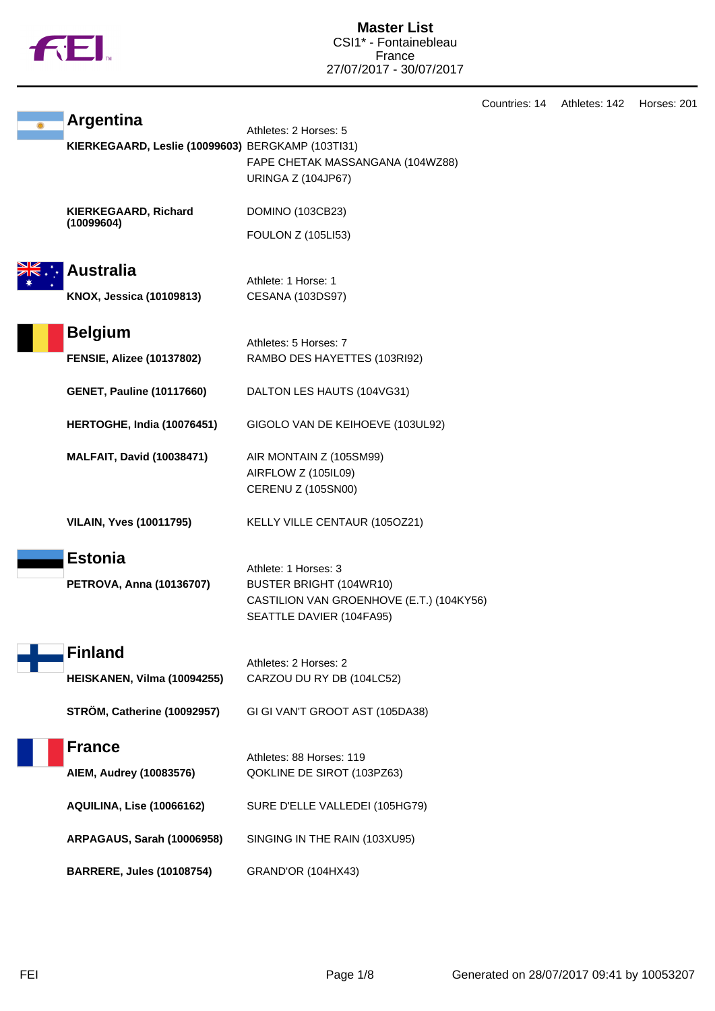

Countries: 14 Athletes: 142 Horses: 201

|  | <b>Argentina</b>                                  | Athletes: 2 Horses: 5                                                                                                   |
|--|---------------------------------------------------|-------------------------------------------------------------------------------------------------------------------------|
|  | KIERKEGAARD, Leslie (10099603) BERGKAMP (103Tl31) | FAPE CHETAK MASSANGANA (104WZ88)<br><b>URINGA Z (104JP67)</b>                                                           |
|  | KIERKEGAARD, Richard                              | DOMINO (103CB23)                                                                                                        |
|  | (10099604)                                        | <b>FOULON Z (105LI53)</b>                                                                                               |
|  | <b>Australia</b>                                  | Athlete: 1 Horse: 1                                                                                                     |
|  | KNOX, Jessica (10109813)                          | <b>CESANA (103DS97)</b>                                                                                                 |
|  | <b>Belgium</b>                                    | Athletes: 5 Horses: 7                                                                                                   |
|  | <b>FENSIE, Alizee (10137802)</b>                  | RAMBO DES HAYETTES (103RI92)                                                                                            |
|  | <b>GENET, Pauline (10117660)</b>                  | DALTON LES HAUTS (104VG31)                                                                                              |
|  | HERTOGHE, India (10076451)                        | GIGOLO VAN DE KEIHOEVE (103UL92)                                                                                        |
|  | <b>MALFAIT, David (10038471)</b>                  | AIR MONTAIN Z (105SM99)<br>AIRFLOW Z (105IL09)<br><b>CERENU Z (105SN00)</b>                                             |
|  | <b>VILAIN, Yves (10011795)</b>                    | KELLY VILLE CENTAUR (105OZ21)                                                                                           |
|  | <b>Estonia</b><br>PETROVA, Anna (10136707)        | Athlete: 1 Horses: 3<br>BUSTER BRIGHT (104WR10)<br>CASTILION VAN GROENHOVE (E.T.) (104KY56)<br>SEATTLE DAVIER (104FA95) |
|  | Finland                                           | Athletes: 2 Horses: 2                                                                                                   |
|  | HEISKANEN, Vilma (10094255)                       | CARZOU DU RY DB (104LC52)                                                                                               |
|  | STRÖM, Catherine (10092957)                       | GI GI VAN'T GROOT AST (105DA38)                                                                                         |
|  | <b>France</b><br>AIEM, Audrey (10083576)          | Athletes: 88 Horses: 119<br>QOKLINE DE SIROT (103PZ63)                                                                  |
|  | <b>AQUILINA, Lise (10066162)</b>                  | SURE D'ELLE VALLEDEI (105HG79)                                                                                          |
|  | <b>ARPAGAUS, Sarah (10006958)</b>                 | SINGING IN THE RAIN (103XU95)                                                                                           |
|  | <b>BARRERE, Jules (10108754)</b>                  | GRAND'OR (104HX43)                                                                                                      |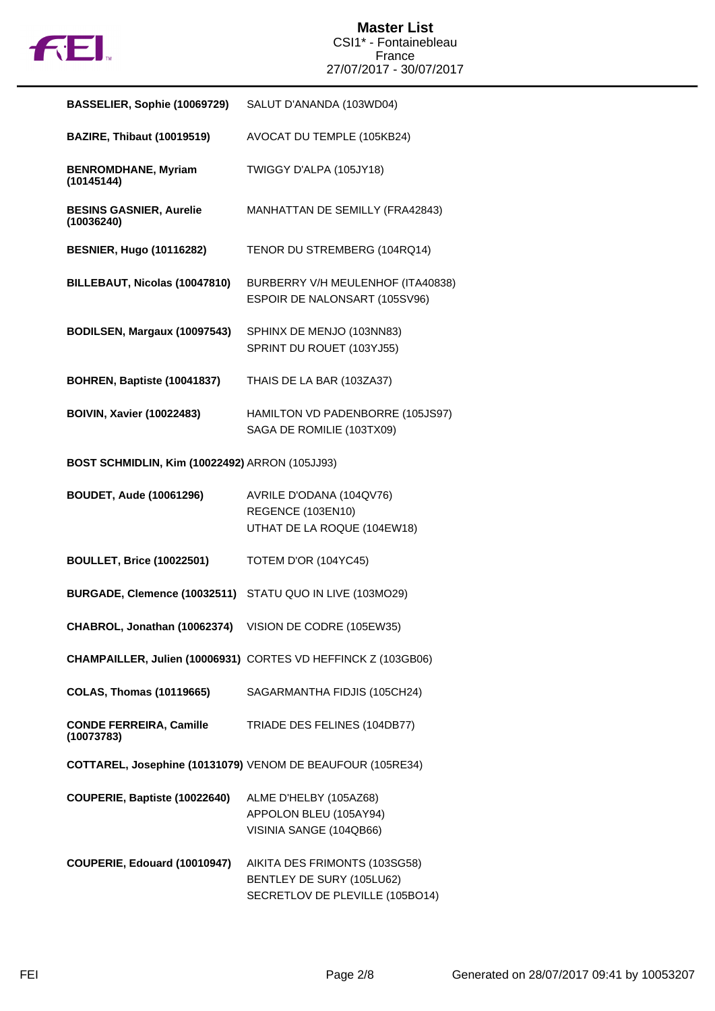

| BASSELIER, Sophie (10069729)                   | SALUT D'ANANDA (103WD04)                                                                      |
|------------------------------------------------|-----------------------------------------------------------------------------------------------|
| <b>BAZIRE, Thibaut (10019519)</b>              | AVOCAT DU TEMPLE (105KB24)                                                                    |
| <b>BENROMDHANE, Myriam</b><br>(10145144)       | TWIGGY D'ALPA (105JY18)                                                                       |
| <b>BESINS GASNIER, Aurelie</b><br>(10036240)   | MANHATTAN DE SEMILLY (FRA42843)                                                               |
| <b>BESNIER, Hugo (10116282)</b>                | TENOR DU STREMBERG (104RQ14)                                                                  |
| BILLEBAUT, Nicolas (10047810)                  | BURBERRY V/H MEULENHOF (ITA40838)<br>ESPOIR DE NALONSART (105SV96)                            |
| BODILSEN, Margaux (10097543)                   | SPHINX DE MENJO (103NN83)<br>SPRINT DU ROUET (103YJ55)                                        |
| BOHREN, Baptiste (10041837)                    | THAIS DE LA BAR (103ZA37)                                                                     |
| <b>BOIVIN, Xavier (10022483)</b>               | HAMILTON VD PADENBORRE (105JS97)<br>SAGA DE ROMILIE (103TX09)                                 |
| BOST SCHMIDLIN, Kim (10022492) ARRON (105JJ93) |                                                                                               |
| <b>BOUDET, Aude (10061296)</b>                 | AVRILE D'ODANA (104QV76)<br>REGENCE (103EN10)<br>UTHAT DE LA ROQUE (104EW18)                  |
| <b>BOULLET, Brice (10022501)</b>               | TOTEM D'OR (104YC45)                                                                          |
| BURGADE, Clemence (10032511)                   | STATU QUO IN LIVE (103MO29)                                                                   |
| CHABROL, Jonathan (10062374)                   | VISION DE CODRE (105EW35)                                                                     |
|                                                | CHAMPAILLER, Julien (10006931) CORTES VD HEFFINCK Z (103GB06)                                 |
| <b>COLAS, Thomas (10119665)</b>                | SAGARMANTHA FIDJIS (105CH24)                                                                  |
| <b>CONDE FERREIRA, Camille</b><br>(10073783)   | TRIADE DES FELINES (104DB77)                                                                  |
|                                                | COTTAREL, Josephine (10131079) VENOM DE BEAUFOUR (105RE34)                                    |
| COUPERIE, Baptiste (10022640)                  | ALME D'HELBY (105AZ68)<br>APPOLON BLEU (105AY94)<br>VISINIA SANGE (104QB66)                   |
| COUPERIE, Edouard (10010947)                   | AIKITA DES FRIMONTS (103SG58)<br>BENTLEY DE SURY (105LU62)<br>SECRETLOV DE PLEVILLE (105BO14) |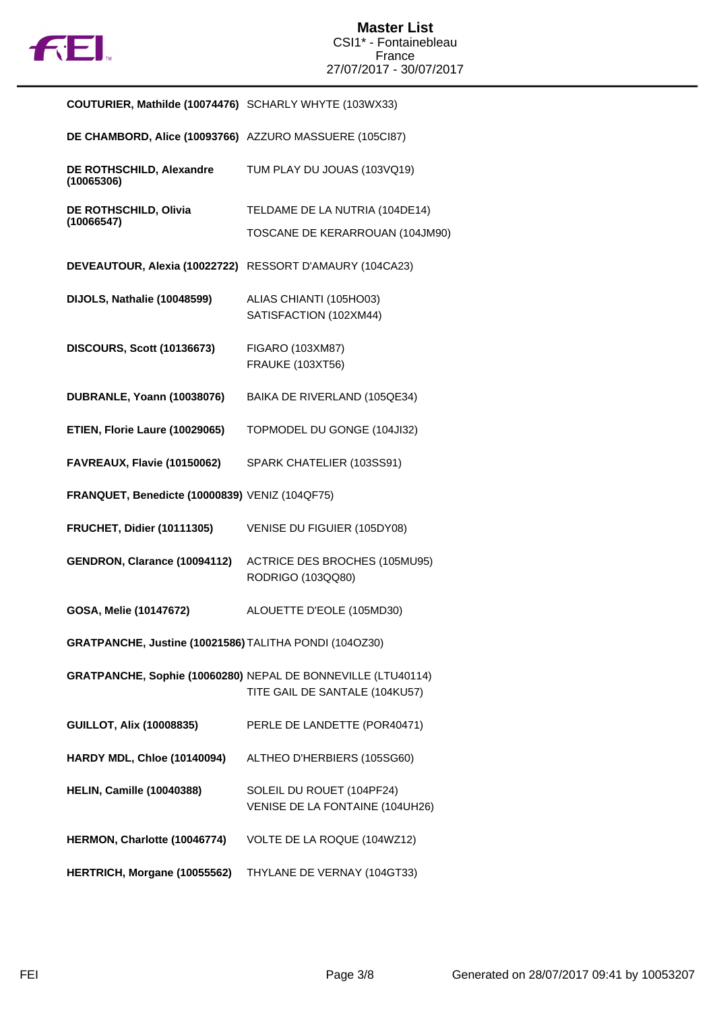

| COUTURIER, Mathilde (10074476) SCHARLY WHYTE (103WX33)   |                                                                                                |
|----------------------------------------------------------|------------------------------------------------------------------------------------------------|
| DE CHAMBORD, Alice (10093766) AZZURO MASSUERE (105Cl87)  |                                                                                                |
| DE ROTHSCHILD, Alexandre<br>(10065306)                   | TUM PLAY DU JOUAS (103VQ19)                                                                    |
| DE ROTHSCHILD, Olivia<br>(10066547)                      | TELDAME DE LA NUTRIA (104DE14)                                                                 |
|                                                          | TOSCANE DE KERARROUAN (104JM90)                                                                |
| DEVEAUTOUR, Alexia (10022722) RESSORT D'AMAURY (104CA23) |                                                                                                |
| DIJOLS, Nathalie (10048599)                              | ALIAS CHIANTI (105HO03)<br>SATISFACTION (102XM44)                                              |
| <b>DISCOURS, Scott (10136673)</b>                        | FIGARO (103XM87)<br><b>FRAUKE (103XT56)</b>                                                    |
| DUBRANLE, Yoann (10038076)                               | BAIKA DE RIVERLAND (105QE34)                                                                   |
| ETIEN, Florie Laure (10029065)                           | TOPMODEL DU GONGE (104JI32)                                                                    |
| FAVREAUX, Flavie (10150062)                              | SPARK CHATELIER (103SS91)                                                                      |
| FRANQUET, Benedicte (10000839) VENIZ (104QF75)           |                                                                                                |
| <b>FRUCHET, Didier (10111305)</b>                        | VENISE DU FIGUIER (105DY08)                                                                    |
| GENDRON, Clarance (10094112)                             | ACTRICE DES BROCHES (105MU95)<br>RODRIGO (103QQ80)                                             |
| GOSA, Melie (10147672)                                   | ALOUETTE D'EOLE (105MD30)                                                                      |
| GRATPANCHE, Justine (10021586) TALITHA PONDI (104OZ30)   |                                                                                                |
|                                                          | GRATPANCHE, Sophie (10060280) NEPAL DE BONNEVILLE (LTU40114)<br>TITE GAIL DE SANTALE (104KU57) |
| <b>GUILLOT, Alix (10008835)</b>                          | PERLE DE LANDETTE (POR40471)                                                                   |
| <b>HARDY MDL, Chloe (10140094)</b>                       | ALTHEO D'HERBIERS (105SG60)                                                                    |
| <b>HELIN, Camille (10040388)</b>                         | SOLEIL DU ROUET (104PF24)<br>VENISE DE LA FONTAINE (104UH26)                                   |
| HERMON, Charlotte (10046774)                             | VOLTE DE LA ROQUE (104WZ12)                                                                    |
| HERTRICH, Morgane (10055562)                             | THYLANE DE VERNAY (104GT33)                                                                    |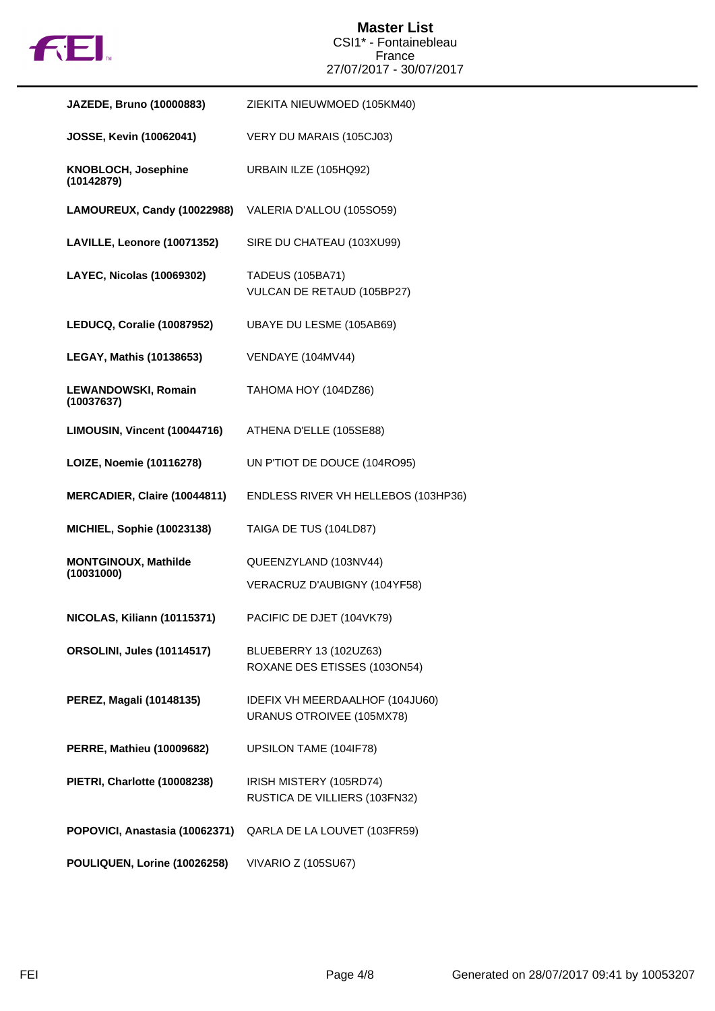

| JAZEDE, Bruno (10000883)                  | ZIEKITA NIEUWMOED (105KM40)                                  |
|-------------------------------------------|--------------------------------------------------------------|
| <b>JOSSE, Kevin (10062041)</b>            | VERY DU MARAIS (105CJ03)                                     |
| KNOBLOCH, Josephine<br>(10142879)         | URBAIN ILZE (105HQ92)                                        |
| LAMOUREUX, Candy (10022988)               | VALERIA D'ALLOU (105SO59)                                    |
| LAVILLE, Leonore (10071352)               | SIRE DU CHATEAU (103XU99)                                    |
| LAYEC, Nicolas (10069302)                 | <b>TADEUS (105BA71)</b><br>VULCAN DE RETAUD (105BP27)        |
| LEDUCQ, Coralie (10087952)                | UBAYE DU LESME (105AB69)                                     |
| <b>LEGAY, Mathis (10138653)</b>           | VENDAYE (104MV44)                                            |
| LEWANDOWSKI, Romain<br>(10037637)         | TAHOMA HOY (104DZ86)                                         |
| LIMOUSIN, Vincent (10044716)              | ATHENA D'ELLE (105SE88)                                      |
| LOIZE, Noemie (10116278)                  | UN P'TIOT DE DOUCE (104RO95)                                 |
| MERCADIER, Claire (10044811)              | ENDLESS RIVER VH HELLEBOS (103HP36)                          |
| <b>MICHIEL, Sophie (10023138)</b>         | TAIGA DE TUS (104LD87)                                       |
| <b>MONTGINOUX, Mathilde</b><br>(10031000) | QUEENZYLAND (103NV44)<br>VERACRUZ D'AUBIGNY (104YF58)        |
| NICOLAS, Kiliann (10115371)               | PACIFIC DE DJET (104VK79)                                    |
| <b>ORSOLINI, Jules (10114517)</b>         | BLUEBERRY 13 (102UZ63)<br>ROXANE DES ETISSES (103ON54)       |
| PEREZ, Magali (10148135)                  | IDEFIX VH MEERDAALHOF (104JU60)<br>URANUS OTROIVEE (105MX78) |
| <b>PERRE, Mathieu (10009682)</b>          | UPSILON TAME (104IF78)                                       |
| PIETRI, Charlotte (10008238)              | IRISH MISTERY (105RD74)<br>RUSTICA DE VILLIERS (103FN32)     |
| POPOVICI, Anastasia (10062371)            | QARLA DE LA LOUVET (103FR59)                                 |
| POULIQUEN, Lorine (10026258)              | <b>VIVARIO Z (105SU67)</b>                                   |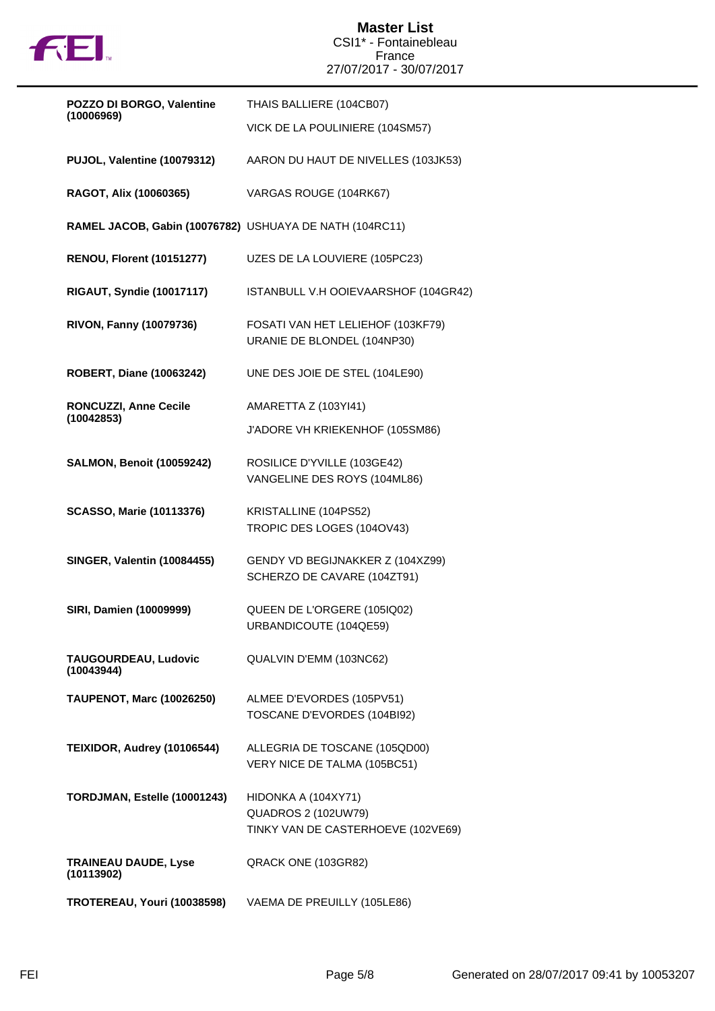

| POZZO DI BORGO, Valentine                               | THAIS BALLIERE (104CB07)                                                                |
|---------------------------------------------------------|-----------------------------------------------------------------------------------------|
| (10006969)                                              | VICK DE LA POULINIERE (104SM57)                                                         |
| PUJOL, Valentine (10079312)                             | AARON DU HAUT DE NIVELLES (103JK53)                                                     |
| RAGOT, Alix (10060365)                                  | VARGAS ROUGE (104RK67)                                                                  |
| RAMEL JACOB, Gabin (10076782) USHUAYA DE NATH (104RC11) |                                                                                         |
| <b>RENOU, Florent (10151277)</b>                        | UZES DE LA LOUVIERE (105PC23)                                                           |
| <b>RIGAUT, Syndie (10017117)</b>                        | ISTANBULL V.H OOIEVAARSHOF (104GR42)                                                    |
| <b>RIVON, Fanny (10079736)</b>                          | FOSATI VAN HET LELIEHOF (103KF79)<br>URANIE DE BLONDEL (104NP30)                        |
| <b>ROBERT, Diane (10063242)</b>                         | UNE DES JOIE DE STEL (104LE90)                                                          |
| <b>RONCUZZI, Anne Cecile</b>                            | AMARETTA Z (103YI41)                                                                    |
| (10042853)                                              | J'ADORE VH KRIEKENHOF (105SM86)                                                         |
| <b>SALMON, Benoit (10059242)</b>                        | ROSILICE D'YVILLE (103GE42)<br>VANGELINE DES ROYS (104ML86)                             |
| <b>SCASSO, Marie (10113376)</b>                         | KRISTALLINE (104PS52)<br>TROPIC DES LOGES (104OV43)                                     |
| <b>SINGER, Valentin (10084455)</b>                      | GENDY VD BEGIJNAKKER Z (104XZ99)<br>SCHERZO DE CAVARE (104ZT91)                         |
| <b>SIRI, Damien (10009999)</b>                          | QUEEN DE L'ORGERE (105IQ02)<br>URBANDICOUTE (104QE59)                                   |
| TAUGOURDEAU, Ludovic<br>(10043944)                      | QUALVIN D'EMM (103NC62)                                                                 |
| <b>TAUPENOT, Marc (10026250)</b>                        | ALMEE D'EVORDES (105PV51)<br>TOSCANE D'EVORDES (104BI92)                                |
| TEIXIDOR, Audrey (10106544)                             | ALLEGRIA DE TOSCANE (105QD00)<br>VERY NICE DE TALMA (105BC51)                           |
| TORDJMAN, Estelle (10001243)                            | HIDONKA A (104XY71)<br><b>QUADROS 2 (102UW79)</b><br>TINKY VAN DE CASTERHOEVE (102VE69) |
| <b>TRAINEAU DAUDE, Lyse</b><br>(10113902)               | QRACK ONE (103GR82)                                                                     |
| TROTEREAU, Youri (10038598)                             | VAEMA DE PREUILLY (105LE86)                                                             |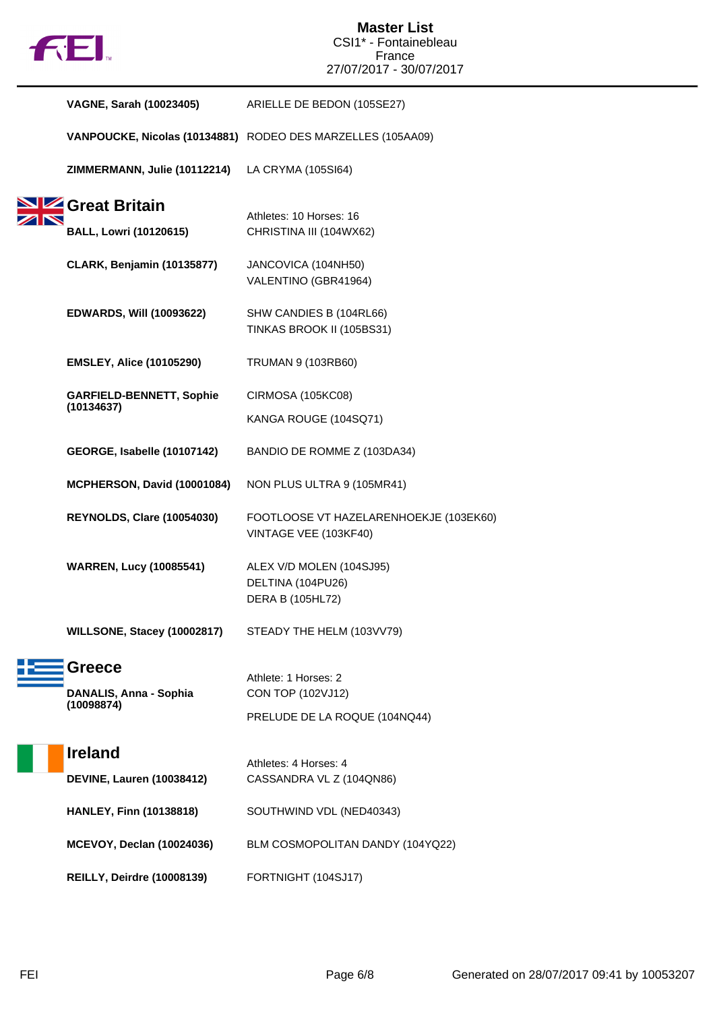

| VAGNE, Sarah (10023405)                               | ARIELLE DE BEDON (105SE27)                                                 |
|-------------------------------------------------------|----------------------------------------------------------------------------|
|                                                       | VANPOUCKE, Nicolas (10134881) RODEO DES MARZELLES (105AA09)                |
| ZIMMERMANN, Julie (10112214)                          | LA CRYMA (105SI64)                                                         |
| Sizz Great Britain<br><b>BALL, Lowri (10120615)</b>   | Athletes: 10 Horses: 16<br>CHRISTINA III (104WX62)                         |
| <b>CLARK, Benjamin (10135877)</b>                     | JANCOVICA (104NH50)<br>VALENTINO (GBR41964)                                |
| <b>EDWARDS, Will (10093622)</b>                       | SHW CANDIES B (104RL66)<br>TINKAS BROOK II (105BS31)                       |
| <b>EMSLEY, Alice (10105290)</b>                       | TRUMAN 9 (103RB60)                                                         |
| <b>GARFIELD-BENNETT, Sophie</b><br>(10134637)         | <b>CIRMOSA (105KC08)</b>                                                   |
|                                                       | KANGA ROUGE (104SQ71)                                                      |
| GEORGE, Isabelle (10107142)                           | BANDIO DE ROMME Z (103DA34)                                                |
| MCPHERSON, David (10001084)                           | NON PLUS ULTRA 9 (105MR41)                                                 |
| <b>REYNOLDS, Clare (10054030)</b>                     | FOOTLOOSE VT HAZELARENHOEKJE (103EK60)<br>VINTAGE VEE (103KF40)            |
| <b>WARREN, Lucy (10085541)</b>                        | ALEX V/D MOLEN (104SJ95)<br>DELTINA (104PU26)<br>DERA B (105HL72)          |
| WILLSONE, Stacey (10002817)                           | STEADY THE HELM (103VV79)                                                  |
| <b>Greece</b><br>DANALIS, Anna - Sophia<br>(10098874) | Athlete: 1 Horses: 2<br>CON TOP (102VJ12)<br>PRELUDE DE LA ROQUE (104NQ44) |
| <b>Ireland</b><br><b>DEVINE, Lauren (10038412)</b>    | Athletes: 4 Horses: 4<br>CASSANDRA VL Z (104QN86)                          |
| <b>HANLEY, Finn (10138818)</b>                        | SOUTHWIND VDL (NED40343)                                                   |
| <b>MCEVOY, Declan (10024036)</b>                      | BLM COSMOPOLITAN DANDY (104YQ22)                                           |
| <b>REILLY, Deirdre (10008139)</b>                     | FORTNIGHT (104SJ17)                                                        |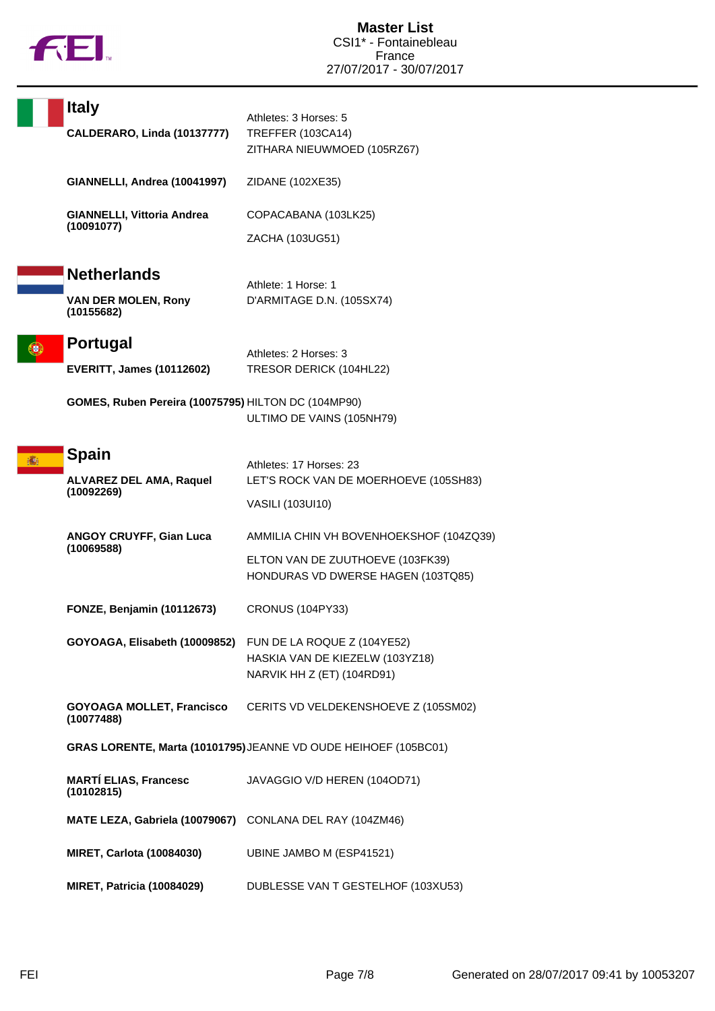

| <b>Italy</b><br>CALDERARO, Linda (10137777)                    | Athletes: 3 Horses: 5<br>TREFFER (103CA14)<br>ZITHARA NIEUWMOED (105RZ67)                                         |
|----------------------------------------------------------------|-------------------------------------------------------------------------------------------------------------------|
| GIANNELLI, Andrea (10041997)                                   | ZIDANE (102XE35)                                                                                                  |
| GIANNELLI, Vittoria Andrea<br>(10091077)                       | COPACABANA (103LK25)<br>ZACHA (103UG51)                                                                           |
| <b>Netherlands</b><br><b>VAN DER MOLEN, Rony</b><br>(10155682) | Athlete: 1 Horse: 1<br>D'ARMITAGE D.N. (105SX74)                                                                  |
| <b>Portugal</b><br><b>EVERITT, James (10112602)</b>            | Athletes: 2 Horses: 3<br>TRESOR DERICK (104HL22)                                                                  |
| GOMES, Ruben Pereira (10075795) HILTON DC (104MP90)            | ULTIMO DE VAINS (105NH79)                                                                                         |
| <b>Spain</b><br><b>ALVAREZ DEL AMA, Raquel</b><br>(10092269)   | Athletes: 17 Horses: 23<br>LET'S ROCK VAN DE MOERHOEVE (105SH83)<br>VASILI (103UI10)                              |
| <b>ANGOY CRUYFF, Gian Luca</b><br>(10069588)                   | AMMILIA CHIN VH BOVENHOEKSHOF (104ZQ39)<br>ELTON VAN DE ZUUTHOEVE (103FK39)<br>HONDURAS VD DWERSE HAGEN (103TQ85) |
| <b>FONZE, Benjamin (10112673)</b>                              | CRONUS (104PY33)                                                                                                  |
| GOYOAGA, Elisabeth (10009852)                                  | FUN DE LA ROQUE Z (104YE52)<br>HASKIA VAN DE KIEZELW (103YZ18)<br>NARVIK HH Z (ET) (104RD91)                      |
| <b>GOYOAGA MOLLET, Francisco</b><br>(10077488)                 | CERITS VD VELDEKENSHOEVE Z (105SM02)                                                                              |
|                                                                | GRAS LORENTE, Marta (10101795) JEANNE VD OUDE HEIHOEF (105BC01)                                                   |
| <b>MARTÍ ELIAS, Francesc</b><br>(10102815)                     | JAVAGGIO V/D HEREN (104OD71)                                                                                      |
| MATE LEZA, Gabriela (10079067) CONLANA DEL RAY (104ZM46)       |                                                                                                                   |
| <b>MIRET, Carlota (10084030)</b>                               | UBINE JAMBO M (ESP41521)                                                                                          |
| <b>MIRET, Patricia (10084029)</b>                              | DUBLESSE VAN T GESTELHOF (103XU53)                                                                                |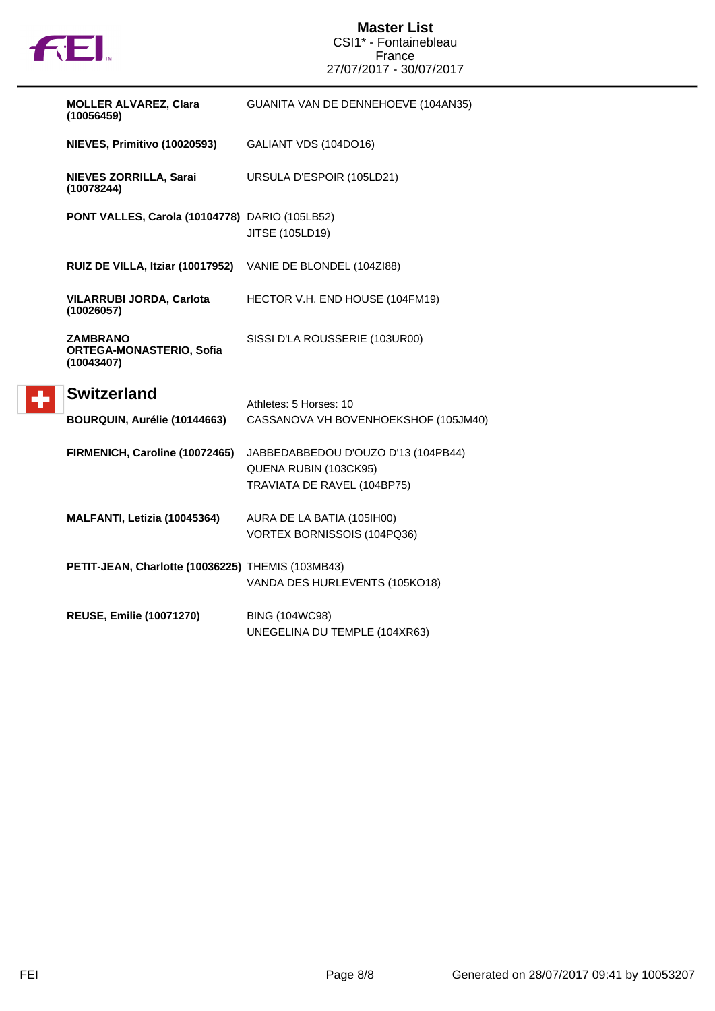

 $\left| \cdot \right|$ 

## **Master List** CSI1\* - Fontainebleau France 27/07/2017 - 30/07/2017

| <b>MOLLER ALVAREZ, Clara</b><br>(10056459)                | GUANITA VAN DE DENNEHOEVE (104AN35)                                                         |
|-----------------------------------------------------------|---------------------------------------------------------------------------------------------|
| NIEVES, Primitivo (10020593)                              | GALIANT VDS (104DO16)                                                                       |
| NIEVES ZORRILLA, Sarai<br>(10078244)                      | URSULA D'ESPOIR (105LD21)                                                                   |
| PONT VALLES, Carola (10104778) DARIO (105LB52)            | JITSE (105LD19)                                                                             |
| RUIZ DE VILLA, Itziar (10017952)                          | VANIE DE BLONDEL (104ZI88)                                                                  |
| <b>VILARRUBI JORDA, Carlota</b><br>(10026057)             | HECTOR V.H. END HOUSE (104FM19)                                                             |
| ZAMBRANO<br><b>ORTEGA-MONASTERIO, Sofia</b><br>(10043407) | SISSI D'LA ROUSSERIE (103UR00)                                                              |
| <b>Switzerland</b><br>BOURQUIN, Aurélie (10144663)        | Athletes: 5 Horses: 10<br>CASSANOVA VH BOVENHOEKSHOF (105JM40)                              |
| FIRMENICH, Caroline (10072465)                            | JABBEDABBEDOU D'OUZO D'13 (104PB44)<br>QUENA RUBIN (103CK95)<br>TRAVIATA DE RAVEL (104BP75) |
| MALFANTI, Letizia (10045364)                              | AURA DE LA BATIA (105IH00)<br>VORTEX BORNISSOIS (104PQ36)                                   |
| PETIT-JEAN, Charlotte (10036225) THEMIS (103MB43)         | VANDA DES HURLEVENTS (105KO18)                                                              |
| <b>REUSE, Emilie (10071270)</b>                           | <b>BING (104WC98)</b><br>UNEGELINA DU TEMPLE (104XR63)                                      |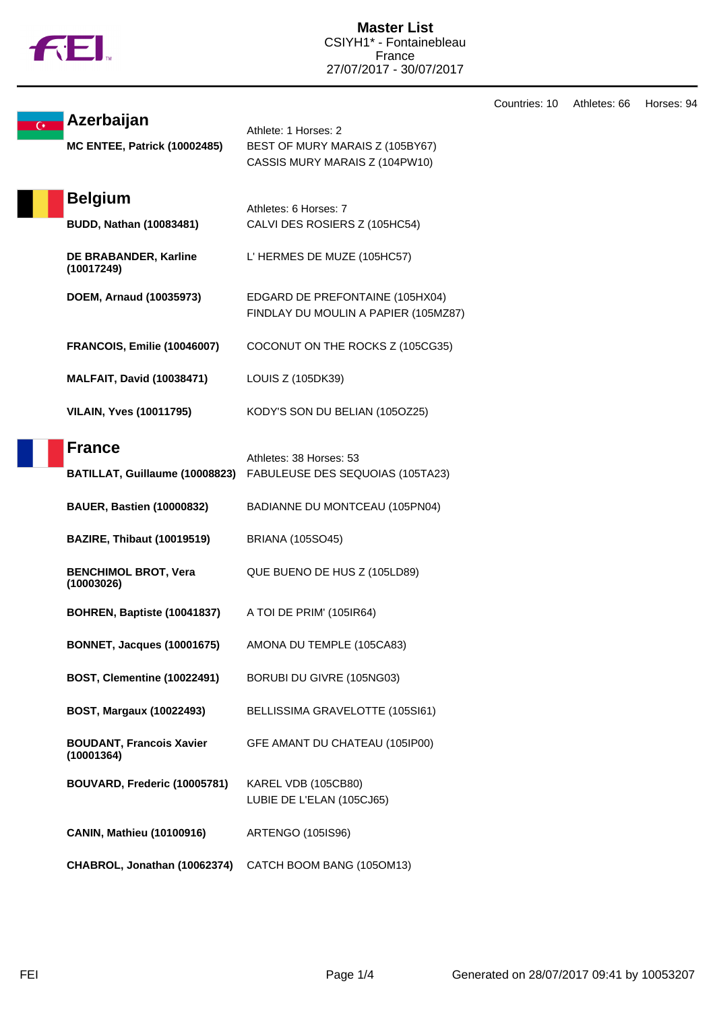

|                         |                                               |                                                                         | Countries: 10 | Athletes: 66 | Horses: 94 |
|-------------------------|-----------------------------------------------|-------------------------------------------------------------------------|---------------|--------------|------------|
| $\overline{C}$          | Azerbaijan                                    | Athlete: 1 Horses: 2                                                    |               |              |            |
|                         | <b>MC ENTEE, Patrick (10002485)</b>           | BEST OF MURY MARAIS Z (105BY67)<br>CASSIS MURY MARAIS Z (104PW10)       |               |              |            |
|                         | <b>Belgium</b>                                | Athletes: 6 Horses: 7                                                   |               |              |            |
|                         | <b>BUDD, Nathan (10083481)</b>                | CALVI DES ROSIERS Z (105HC54)                                           |               |              |            |
|                         | DE BRABANDER, Karline<br>(10017249)           | L' HERMES DE MUZE (105HC57)                                             |               |              |            |
| DOEM, Arnaud (10035973) |                                               | EDGARD DE PREFONTAINE (105HX04)<br>FINDLAY DU MOULIN A PAPIER (105MZ87) |               |              |            |
|                         | <b>FRANCOIS, Emilie (10046007)</b>            | COCONUT ON THE ROCKS Z (105CG35)                                        |               |              |            |
|                         | <b>MALFAIT, David (10038471)</b>              | LOUIS Z (105DK39)                                                       |               |              |            |
|                         | <b>VILAIN, Yves (10011795)</b>                | KODY'S SON DU BELIAN (105OZ25)                                          |               |              |            |
|                         | <b>France</b>                                 | Athletes: 38 Horses: 53                                                 |               |              |            |
|                         |                                               | BATILLAT, Guillaume (10008823) FABULEUSE DES SEQUOIAS (105TA23)         |               |              |            |
|                         | <b>BAUER, Bastien (10000832)</b>              | BADIANNE DU MONTCEAU (105PN04)                                          |               |              |            |
|                         | <b>BAZIRE, Thibaut (10019519)</b>             | <b>BRIANA (105SO45)</b>                                                 |               |              |            |
|                         | <b>BENCHIMOL BROT, Vera</b><br>(10003026)     | QUE BUENO DE HUS Z (105LD89)                                            |               |              |            |
|                         | BOHREN, Baptiste (10041837)                   | A TOI DE PRIM' (105IR64)                                                |               |              |            |
|                         | <b>BONNET, Jacques (10001675)</b>             | AMONA DU TEMPLE (105CA83)                                               |               |              |            |
|                         | <b>BOST, Clementine (10022491)</b>            | BORUBI DU GIVRE (105NG03)                                               |               |              |            |
|                         | <b>BOST, Margaux (10022493)</b>               | BELLISSIMA GRAVELOTTE (105SI61)                                         |               |              |            |
|                         | <b>BOUDANT, Francois Xavier</b><br>(10001364) | GFE AMANT DU CHATEAU (105IP00)                                          |               |              |            |
|                         | BOUVARD, Frederic (10005781)                  | KAREL VDB (105CB80)<br>LUBIE DE L'ELAN (105CJ65)                        |               |              |            |
|                         | <b>CANIN, Mathieu (10100916)</b>              | ARTENGO (105IS96)                                                       |               |              |            |
|                         | CHABROL, Jonathan (10062374)                  | CATCH BOOM BANG (105OM13)                                               |               |              |            |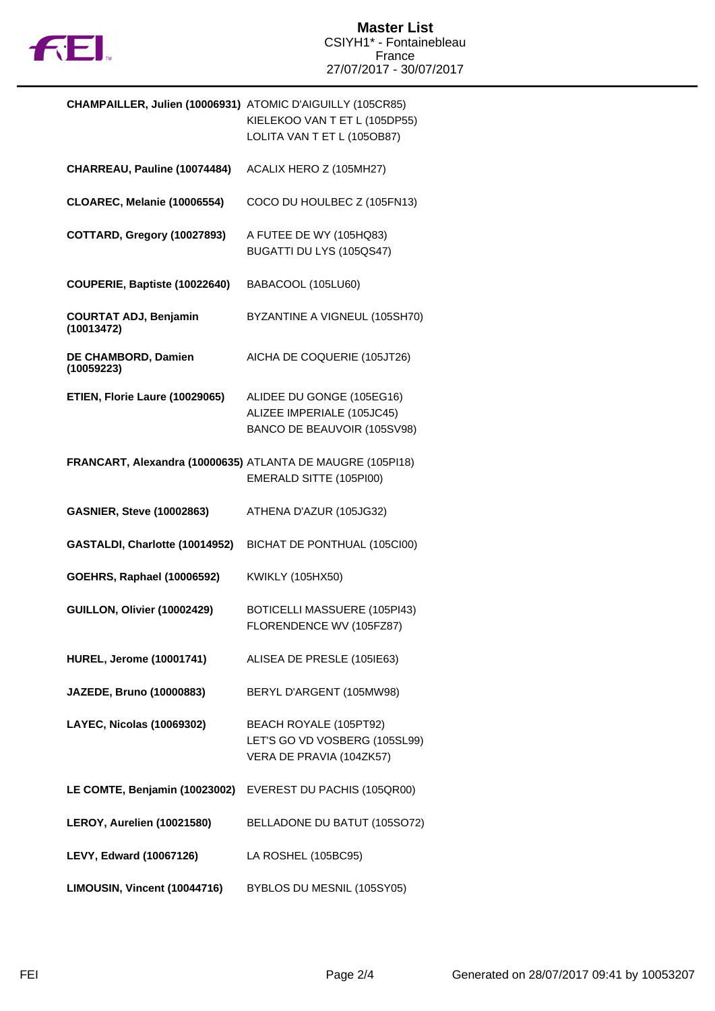

| <b>CHAMPAILLER, Julien (10006931) ATOMIC D'AIGUILLY (105CR85)</b> | KIELEKOO VAN T ET L (105DP55)<br>LOLITA VAN T ET L (105OB87)                           |
|-------------------------------------------------------------------|----------------------------------------------------------------------------------------|
| CHARREAU, Pauline (10074484)                                      | ACALIX HERO Z (105MH27)                                                                |
| <b>CLOAREC, Melanie (10006554)</b>                                | COCO DU HOULBEC Z (105FN13)                                                            |
| COTTARD, Gregory (10027893)                                       | A FUTEE DE WY (105HQ83)<br>BUGATTI DU LYS (105QS47)                                    |
| COUPERIE, Baptiste (10022640)                                     | BABACOOL (105LU60)                                                                     |
| <b>COURTAT ADJ, Benjamin</b><br>(10013472)                        | BYZANTINE A VIGNEUL (105SH70)                                                          |
| DE CHAMBORD, Damien<br>(10059223)                                 | AICHA DE COQUERIE (105JT26)                                                            |
| ETIEN, Florie Laure (10029065)                                    | ALIDEE DU GONGE (105EG16)<br>ALIZEE IMPERIALE (105JC45)<br>BANCO DE BEAUVOIR (105SV98) |
| FRANCART, Alexandra (10000635) ATLANTA DE MAUGRE (105PI18)        | EMERALD SITTE (105PI00)                                                                |
| <b>GASNIER, Steve (10002863)</b>                                  | ATHENA D'AZUR (105JG32)                                                                |
| GASTALDI, Charlotte (10014952)                                    | BICHAT DE PONTHUAL (105CI00)                                                           |
| <b>GOEHRS, Raphael (10006592)</b>                                 | KWIKLY (105HX50)                                                                       |
| GUILLON, Olivier (10002429)                                       | BOTICELLI MASSUERE (105PI43)<br>FLORENDENCE WV (105FZ87)                               |
| <b>HUREL, Jerome (10001741)</b>                                   | ALISEA DE PRESLE (105IE63)                                                             |
| JAZEDE, Bruno (10000883)                                          | BERYL D'ARGENT (105MW98)                                                               |
| <b>LAYEC, Nicolas (10069302)</b>                                  | BEACH ROYALE (105PT92)<br>LET'S GO VD VOSBERG (105SL99)<br>VERA DE PRAVIA (104ZK57)    |
| LE COMTE, Benjamin (10023002)                                     | EVEREST DU PACHIS (105QR00)                                                            |
| LEROY, Aurelien (10021580)                                        | BELLADONE DU BATUT (105SO72)                                                           |
| LEVY, Edward (10067126)                                           | LA ROSHEL (105BC95)                                                                    |
| LIMOUSIN, Vincent (10044716)                                      | BYBLOS DU MESNIL (105SY05)                                                             |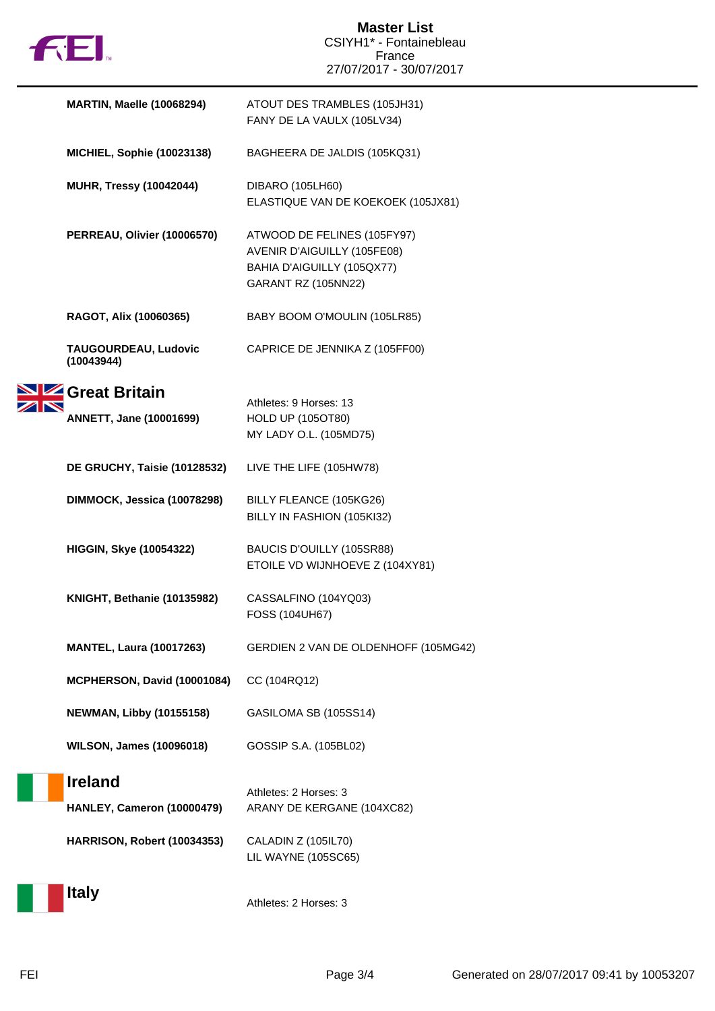

|  | <b>MARTIN, Maelle (10068294)</b>   | ATOUT DES TRAMBLES (105JH31)<br>FANY DE LA VAULX (105LV34)                                                      |
|--|------------------------------------|-----------------------------------------------------------------------------------------------------------------|
|  | <b>MICHIEL, Sophie (10023138)</b>  | BAGHEERA DE JALDIS (105KQ31)                                                                                    |
|  | <b>MUHR, Tressy (10042044)</b>     | DIBARO (105LH60)<br>ELASTIQUE VAN DE KOEKOEK (105JX81)                                                          |
|  | PERREAU, Olivier (10006570)        | ATWOOD DE FELINES (105FY97)<br>AVENIR D'AIGUILLY (105FE08)<br>BAHIA D'AIGUILLY (105QX77)<br>GARANT RZ (105NN22) |
|  | RAGOT, Alix (10060365)             | BABY BOOM O'MOULIN (105LR85)                                                                                    |
|  | TAUGOURDEAU, Ludovic<br>(10043944) | CAPRICE DE JENNIKA Z (105FF00)                                                                                  |
|  | SIZ Great Britain                  | Athletes: 9 Horses: 13                                                                                          |
|  | <b>ANNETT, Jane (10001699)</b>     | <b>HOLD UP (105OT80)</b><br>MY LADY O.L. (105MD75)                                                              |
|  | DE GRUCHY, Taisie (10128532)       | LIVE THE LIFE (105HW78)                                                                                         |
|  | DIMMOCK, Jessica (10078298)        | BILLY FLEANCE (105KG26)<br>BILLY IN FASHION (105KI32)                                                           |
|  | <b>HIGGIN, Skye (10054322)</b>     | BAUCIS D'OUILLY (105SR88)<br>ETOILE VD WIJNHOEVE Z (104XY81)                                                    |
|  | KNIGHT, Bethanie (10135982)        | CASSALFINO (104YQ03)<br>FOSS (104UH67)                                                                          |
|  | <b>MANTEL, Laura (10017263)</b>    | GERDIEN 2 VAN DE OLDENHOFF (105MG42)                                                                            |
|  | MCPHERSON, David (10001084)        | CC (104RQ12)                                                                                                    |
|  | <b>NEWMAN, Libby (10155158)</b>    | GASILOMA SB (105SS14)                                                                                           |
|  | <b>WILSON, James (10096018)</b>    | GOSSIP S.A. (105BL02)                                                                                           |
|  | <b>Ireland</b>                     | Athletes: 2 Horses: 3                                                                                           |
|  | HANLEY, Cameron (10000479)         | ARANY DE KERGANE (104XC82)                                                                                      |
|  | HARRISON, Robert (10034353)        | CALADIN Z (105IL70)<br>LIL WAYNE (105SC65)                                                                      |
|  | <b>Italy</b>                       | Athletes: 2 Horses: 3                                                                                           |